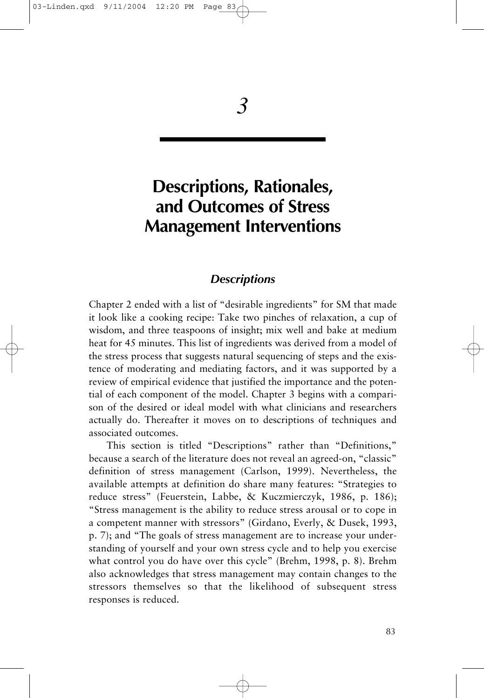# **Descriptions, Rationales, and Outcomes of Stress Management Interventions**

# *Descriptions*

Chapter 2 ended with a list of "desirable ingredients" for SM that made it look like a cooking recipe: Take two pinches of relaxation, a cup of wisdom, and three teaspoons of insight; mix well and bake at medium heat for 45 minutes. This list of ingredients was derived from a model of the stress process that suggests natural sequencing of steps and the existence of moderating and mediating factors, and it was supported by a review of empirical evidence that justified the importance and the potential of each component of the model. Chapter 3 begins with a comparison of the desired or ideal model with what clinicians and researchers actually do. Thereafter it moves on to descriptions of techniques and associated outcomes.

This section is titled "Descriptions" rather than "Definitions," because a search of the literature does not reveal an agreed-on, "classic" definition of stress management (Carlson, 1999). Nevertheless, the available attempts at definition do share many features: "Strategies to reduce stress" (Feuerstein, Labbe, & Kuczmierczyk, 1986, p. 186); "Stress management is the ability to reduce stress arousal or to cope in a competent manner with stressors" (Girdano, Everly, & Dusek, 1993, p. 7); and "The goals of stress management are to increase your understanding of yourself and your own stress cycle and to help you exercise what control you do have over this cycle" (Brehm, 1998, p. 8). Brehm also acknowledges that stress management may contain changes to the stressors themselves so that the likelihood of subsequent stress responses is reduced.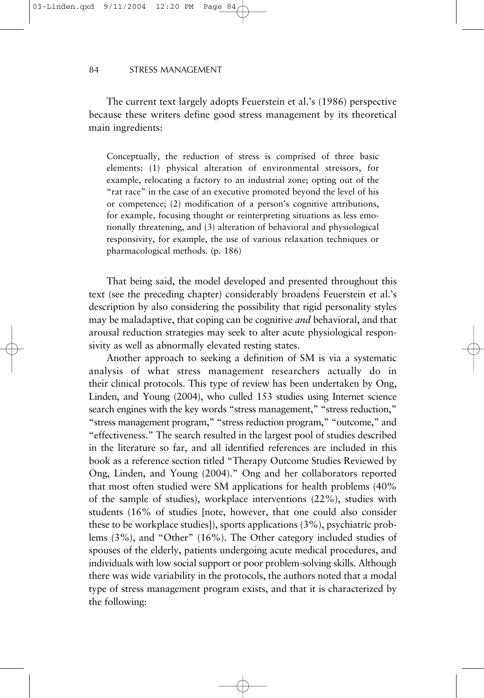The current text largely adopts Feuerstein et al.'s (1986) perspective because these writers define good stress management by its theoretical main ingredients:

Conceptually, the reduction of stress is comprised of three basic elements: (1) physical alteration of environmental stressors, for example, relocating a factory to an industrial zone; opting out of the "rat race" in the case of an executive promoted beyond the level of his or competence; (2) modification of a person's cognitive attributions, for example, focusing thought or reinterpreting situations as less emotionally threatening, and (3) alteration of behavioral and physiological responsivity, for example, the use of various relaxation techniques or pharmacological methods. (p. 186)

That being said, the model developed and presented throughout this text (see the preceding chapter) considerably broadens Feuerstein et al.'s description by also considering the possibility that rigid personality styles may be maladaptive, that coping can be cognitive *and* behavioral, and that arousal reduction strategies may seek to alter acute physiological responsivity as well as abnormally elevated resting states.

Another approach to seeking a definition of SM is via a systematic analysis of what stress management researchers actually do in their clinical protocols. This type of review has been undertaken by Ong, Linden, and Young (2004), who culled 153 studies using Internet science search engines with the key words "stress management," "stress reduction," "stress management program," "stress reduction program," "outcome," and "effectiveness." The search resulted in the largest pool of studies described in the literature so far, and all identified references are included in this book as a reference section titled "Therapy Outcome Studies Reviewed by Ong, Linden, and Young (2004)." Ong and her collaborators reported that most often studied were SM applications for health problems (40% of the sample of studies), workplace interventions (22%), studies with students (16% of studies [note, however, that one could also consider these to be workplace studies]), sports applications (3%), psychiatric problems (3%), and "Other" (16%). The Other category included studies of spouses of the elderly, patients undergoing acute medical procedures, and individuals with low social support or poor problem-solving skills. Although there was wide variability in the protocols, the authors noted that a modal type of stress management program exists, and that it is characterized by the following: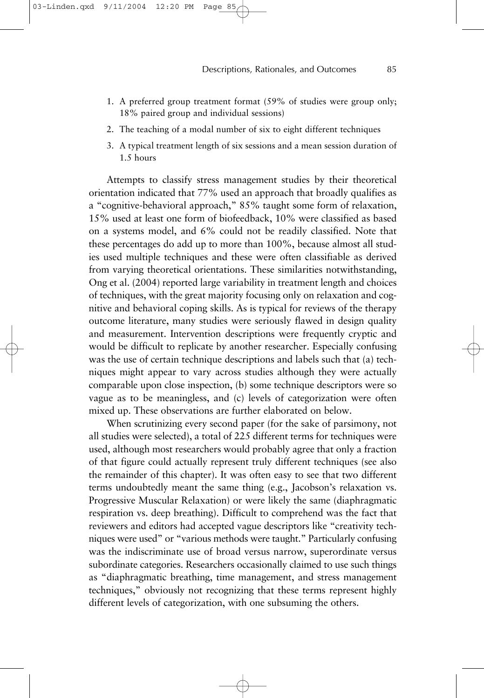03-Linden.qxd 9/11/2004 12:20

- 2. The teaching of a modal number of six to eight different techniques
- 3. A typical treatment length of six sessions and a mean session duration of 1.5 hours

Attempts to classify stress management studies by their theoretical orientation indicated that 77% used an approach that broadly qualifies as a "cognitive-behavioral approach," 85% taught some form of relaxation, 15% used at least one form of biofeedback, 10% were classified as based on a systems model, and 6% could not be readily classified. Note that these percentages do add up to more than 100%, because almost all studies used multiple techniques and these were often classifiable as derived from varying theoretical orientations. These similarities notwithstanding, Ong et al. (2004) reported large variability in treatment length and choices of techniques, with the great majority focusing only on relaxation and cognitive and behavioral coping skills. As is typical for reviews of the therapy outcome literature, many studies were seriously flawed in design quality and measurement. Intervention descriptions were frequently cryptic and would be difficult to replicate by another researcher. Especially confusing was the use of certain technique descriptions and labels such that (a) techniques might appear to vary across studies although they were actually comparable upon close inspection, (b) some technique descriptors were so vague as to be meaningless, and (c) levels of categorization were often mixed up. These observations are further elaborated on below.

When scrutinizing every second paper (for the sake of parsimony, not all studies were selected), a total of 225 different terms for techniques were used, although most researchers would probably agree that only a fraction of that figure could actually represent truly different techniques (see also the remainder of this chapter). It was often easy to see that two different terms undoubtedly meant the same thing (e.g., Jacobson's relaxation vs. Progressive Muscular Relaxation) or were likely the same (diaphragmatic respiration vs. deep breathing). Difficult to comprehend was the fact that reviewers and editors had accepted vague descriptors like "creativity techniques were used" or "various methods were taught." Particularly confusing was the indiscriminate use of broad versus narrow, superordinate versus subordinate categories. Researchers occasionally claimed to use such things as "diaphragmatic breathing, time management, and stress management techniques," obviously not recognizing that these terms represent highly different levels of categorization, with one subsuming the others.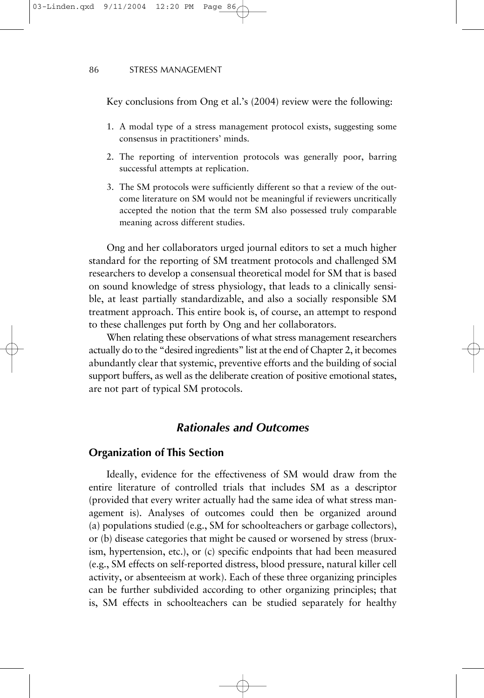Key conclusions from Ong et al.'s (2004) review were the following:

- 1. A modal type of a stress management protocol exists, suggesting some consensus in practitioners' minds.
- 2. The reporting of intervention protocols was generally poor, barring successful attempts at replication.
- 3. The SM protocols were sufficiently different so that a review of the outcome literature on SM would not be meaningful if reviewers uncritically accepted the notion that the term SM also possessed truly comparable meaning across different studies.

Ong and her collaborators urged journal editors to set a much higher standard for the reporting of SM treatment protocols and challenged SM researchers to develop a consensual theoretical model for SM that is based on sound knowledge of stress physiology, that leads to a clinically sensible, at least partially standardizable, and also a socially responsible SM treatment approach. This entire book is, of course, an attempt to respond to these challenges put forth by Ong and her collaborators.

When relating these observations of what stress management researchers actually do to the "desired ingredients" list at the end of Chapter 2, it becomes abundantly clear that systemic, preventive efforts and the building of social support buffers, as well as the deliberate creation of positive emotional states, are not part of typical SM protocols.

# *Rationales and Outcomes*

# **Organization of This Section**

Ideally, evidence for the effectiveness of SM would draw from the entire literature of controlled trials that includes SM as a descriptor (provided that every writer actually had the same idea of what stress management is). Analyses of outcomes could then be organized around (a) populations studied (e.g., SM for schoolteachers or garbage collectors), or (b) disease categories that might be caused or worsened by stress (bruxism, hypertension, etc.), or (c) specific endpoints that had been measured (e.g., SM effects on self-reported distress, blood pressure, natural killer cell activity, or absenteeism at work). Each of these three organizing principles can be further subdivided according to other organizing principles; that is, SM effects in schoolteachers can be studied separately for healthy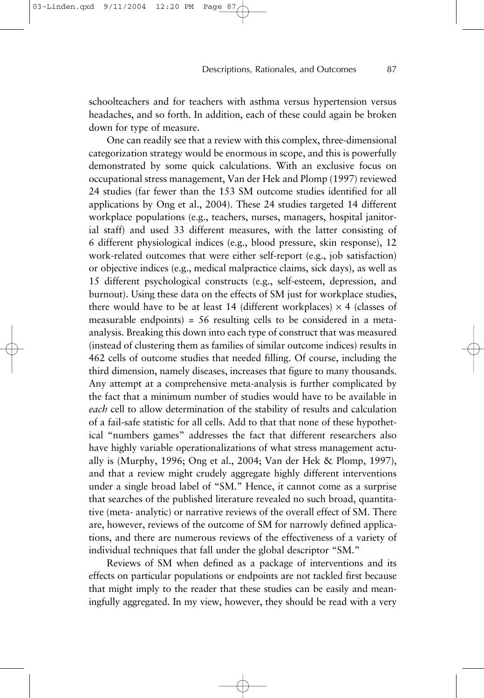schoolteachers and for teachers with asthma versus hypertension versus headaches, and so forth. In addition, each of these could again be broken down for type of measure.

One can readily see that a review with this complex, three-dimensional categorization strategy would be enormous in scope, and this is powerfully demonstrated by some quick calculations. With an exclusive focus on occupational stress management, Van der Hek and Plomp (1997) reviewed 24 studies (far fewer than the 153 SM outcome studies identified for all applications by Ong et al., 2004). These 24 studies targeted 14 different workplace populations (e.g., teachers, nurses, managers, hospital janitorial staff) and used 33 different measures, with the latter consisting of 6 different physiological indices (e.g., blood pressure, skin response), 12 work-related outcomes that were either self-report (e.g., job satisfaction) or objective indices (e.g., medical malpractice claims, sick days), as well as 15 different psychological constructs (e.g., self-esteem, depression, and burnout). Using these data on the effects of SM just for workplace studies, there would have to be at least 14 (different workplaces)  $\times$  4 (classes of measurable endpoints) = 56 resulting cells to be considered in a metaanalysis. Breaking this down into each type of construct that was measured (instead of clustering them as families of similar outcome indices) results in 462 cells of outcome studies that needed filling. Of course, including the third dimension, namely diseases, increases that figure to many thousands. Any attempt at a comprehensive meta-analysis is further complicated by the fact that a minimum number of studies would have to be available in *each* cell to allow determination of the stability of results and calculation of a fail-safe statistic for all cells. Add to that that none of these hypothetical "numbers games" addresses the fact that different researchers also have highly variable operationalizations of what stress management actually is (Murphy, 1996; Ong et al., 2004; Van der Hek & Plomp, 1997), and that a review might crudely aggregate highly different interventions under a single broad label of "SM." Hence, it cannot come as a surprise that searches of the published literature revealed no such broad, quantitative (meta- analytic) or narrative reviews of the overall effect of SM. There are, however, reviews of the outcome of SM for narrowly defined applications, and there are numerous reviews of the effectiveness of a variety of individual techniques that fall under the global descriptor "SM."

Reviews of SM when defined as a package of interventions and its effects on particular populations or endpoints are not tackled first because that might imply to the reader that these studies can be easily and meaningfully aggregated. In my view, however, they should be read with a very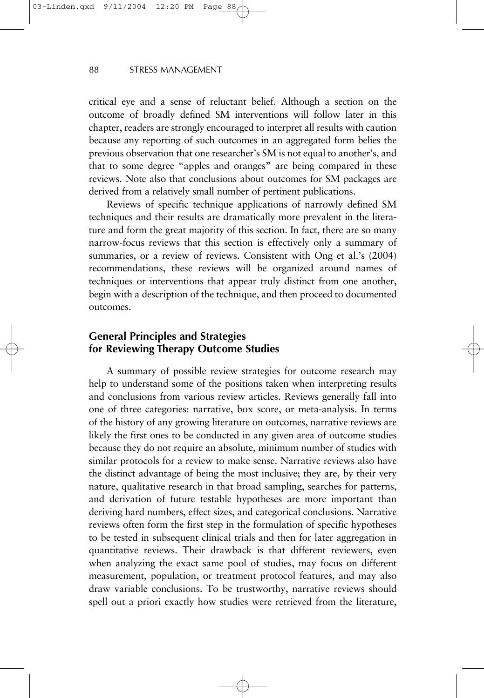critical eye and a sense of reluctant belief. Although a section on the outcome of broadly defined SM interventions will follow later in this chapter, readers are strongly encouraged to interpret all results with caution because any reporting of such outcomes in an aggregated form belies the previous observation that one researcher's SM is not equal to another's, and that to some degree "apples and oranges" are being compared in these reviews. Note also that conclusions about outcomes for SM packages are derived from a relatively small number of pertinent publications.

Reviews of specific technique applications of narrowly defined SM techniques and their results are dramatically more prevalent in the literature and form the great majority of this section. In fact, there are so many narrow-focus reviews that this section is effectively only a summary of summaries, or a review of reviews. Consistent with Ong et al.'s (2004) recommendations, these reviews will be organized around names of techniques or interventions that appear truly distinct from one another, begin with a description of the technique, and then proceed to documented outcomes.

# **General Principles and Strategies for Reviewing Therapy Outcome Studies**

A summary of possible review strategies for outcome research may help to understand some of the positions taken when interpreting results and conclusions from various review articles. Reviews generally fall into one of three categories: narrative, box score, or meta-analysis. In terms of the history of any growing literature on outcomes, narrative reviews are likely the first ones to be conducted in any given area of outcome studies because they do not require an absolute, minimum number of studies with similar protocols for a review to make sense. Narrative reviews also have the distinct advantage of being the most inclusive; they are, by their very nature, qualitative research in that broad sampling, searches for patterns, and derivation of future testable hypotheses are more important than deriving hard numbers, effect sizes, and categorical conclusions. Narrative reviews often form the first step in the formulation of specific hypotheses to be tested in subsequent clinical trials and then for later aggregation in quantitative reviews. Their drawback is that different reviewers, even when analyzing the exact same pool of studies, may focus on different measurement, population, or treatment protocol features, and may also draw variable conclusions. To be trustworthy, narrative reviews should spell out a priori exactly how studies were retrieved from the literature,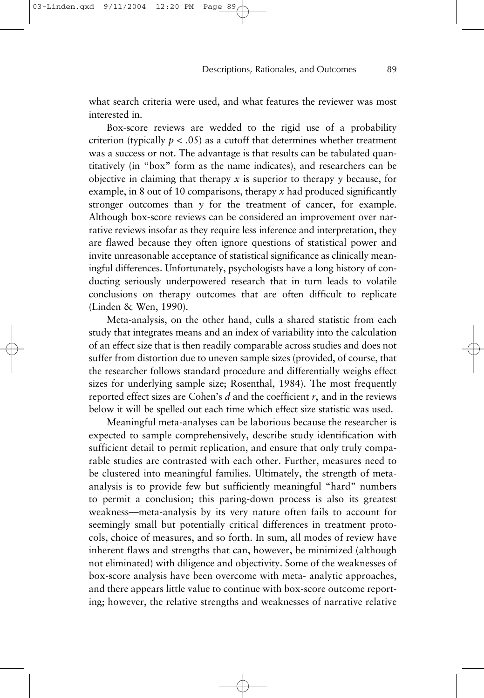what search criteria were used, and what features the reviewer was most interested in.

Box-score reviews are wedded to the rigid use of a probability criterion (typically  $p < .05$ ) as a cutoff that determines whether treatment was a success or not. The advantage is that results can be tabulated quantitatively (in "box" form as the name indicates), and researchers can be objective in claiming that therapy *x* is superior to therapy *y* because, for example, in 8 out of 10 comparisons, therapy *x* had produced significantly stronger outcomes than *y* for the treatment of cancer, for example. Although box-score reviews can be considered an improvement over narrative reviews insofar as they require less inference and interpretation, they are flawed because they often ignore questions of statistical power and invite unreasonable acceptance of statistical significance as clinically meaningful differences. Unfortunately, psychologists have a long history of conducting seriously underpowered research that in turn leads to volatile conclusions on therapy outcomes that are often difficult to replicate (Linden & Wen, 1990).

Meta-analysis, on the other hand, culls a shared statistic from each study that integrates means and an index of variability into the calculation of an effect size that is then readily comparable across studies and does not suffer from distortion due to uneven sample sizes (provided, of course, that the researcher follows standard procedure and differentially weighs effect sizes for underlying sample size; Rosenthal, 1984). The most frequently reported effect sizes are Cohen's *d* and the coefficient *r*, and in the reviews below it will be spelled out each time which effect size statistic was used.

Meaningful meta-analyses can be laborious because the researcher is expected to sample comprehensively, describe study identification with sufficient detail to permit replication, and ensure that only truly comparable studies are contrasted with each other. Further, measures need to be clustered into meaningful families. Ultimately, the strength of metaanalysis is to provide few but sufficiently meaningful "hard" numbers to permit a conclusion; this paring-down process is also its greatest weakness—meta-analysis by its very nature often fails to account for seemingly small but potentially critical differences in treatment protocols, choice of measures, and so forth. In sum, all modes of review have inherent flaws and strengths that can, however, be minimized (although not eliminated) with diligence and objectivity. Some of the weaknesses of box-score analysis have been overcome with meta- analytic approaches, and there appears little value to continue with box-score outcome reporting; however, the relative strengths and weaknesses of narrative relative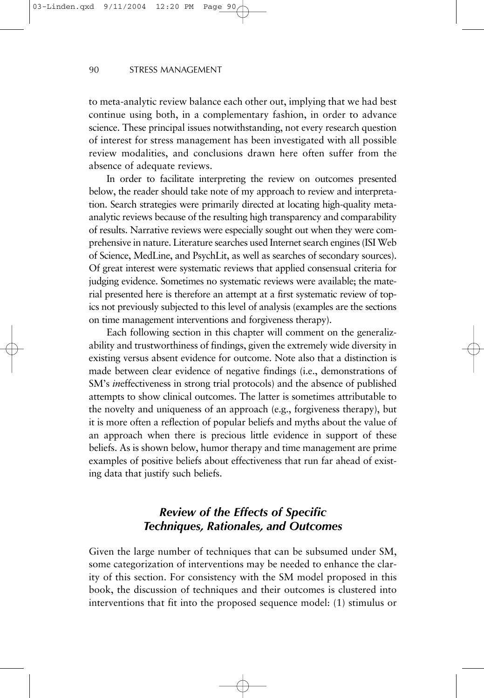to meta-analytic review balance each other out, implying that we had best continue using both, in a complementary fashion, in order to advance science. These principal issues notwithstanding, not every research question of interest for stress management has been investigated with all possible review modalities, and conclusions drawn here often suffer from the absence of adequate reviews.

In order to facilitate interpreting the review on outcomes presented below, the reader should take note of my approach to review and interpretation. Search strategies were primarily directed at locating high-quality metaanalytic reviews because of the resulting high transparency and comparability of results. Narrative reviews were especially sought out when they were comprehensive in nature. Literature searches used Internet search engines (ISI Web of Science, MedLine, and PsychLit, as well as searches of secondary sources). Of great interest were systematic reviews that applied consensual criteria for judging evidence. Sometimes no systematic reviews were available; the material presented here is therefore an attempt at a first systematic review of topics not previously subjected to this level of analysis (examples are the sections on time management interventions and forgiveness therapy).

Each following section in this chapter will comment on the generalizability and trustworthiness of findings, given the extremely wide diversity in existing versus absent evidence for outcome. Note also that a distinction is made between clear evidence of negative findings (i.e., demonstrations of SM's *in*effectiveness in strong trial protocols) and the absence of published attempts to show clinical outcomes. The latter is sometimes attributable to the novelty and uniqueness of an approach (e.g., forgiveness therapy), but it is more often a reflection of popular beliefs and myths about the value of an approach when there is precious little evidence in support of these beliefs. As is shown below, humor therapy and time management are prime examples of positive beliefs about effectiveness that run far ahead of existing data that justify such beliefs.

# *Review of the Effects of Specific Techniques, Rationales, and Outcomes*

Given the large number of techniques that can be subsumed under SM, some categorization of interventions may be needed to enhance the clarity of this section. For consistency with the SM model proposed in this book, the discussion of techniques and their outcomes is clustered into interventions that fit into the proposed sequence model: (1) stimulus or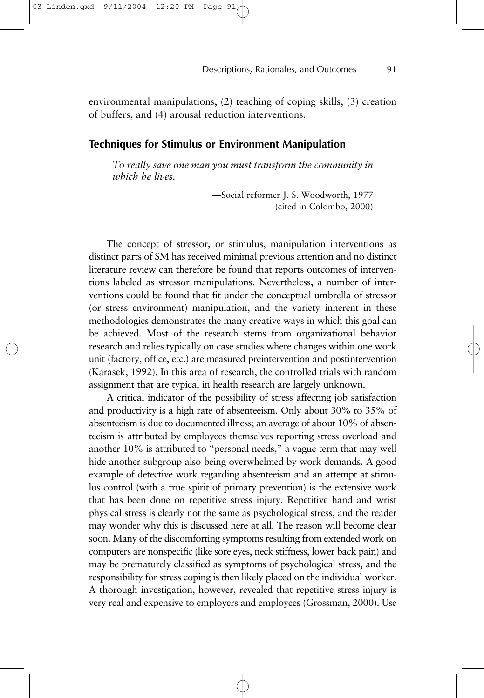environmental manipulations, (2) teaching of coping skills, (3) creation of buffers, and (4) arousal reduction interventions.

# **Techniques for Stimulus or Environment Manipulation**

*To really save one man you must transform the community in which he lives.*

> —Social reformer J. S. Woodworth, 1977 (cited in Colombo, 2000)

The concept of stressor, or stimulus, manipulation interventions as distinct parts of SM has received minimal previous attention and no distinct literature review can therefore be found that reports outcomes of interventions labeled as stressor manipulations. Nevertheless, a number of interventions could be found that fit under the conceptual umbrella of stressor (or stress environment) manipulation, and the variety inherent in these methodologies demonstrates the many creative ways in which this goal can be achieved. Most of the research stems from organizational behavior research and relies typically on case studies where changes within one work unit (factory, office, etc.) are measured preintervention and postintervention (Karasek, 1992). In this area of research, the controlled trials with random assignment that are typical in health research are largely unknown.

A critical indicator of the possibility of stress affecting job satisfaction and productivity is a high rate of absenteeism. Only about 30% to 35% of absenteeism is due to documented illness; an average of about 10% of absenteeism is attributed by employees themselves reporting stress overload and another 10% is attributed to "personal needs," a vague term that may well hide another subgroup also being overwhelmed by work demands. A good example of detective work regarding absenteeism and an attempt at stimulus control (with a true spirit of primary prevention) is the extensive work that has been done on repetitive stress injury. Repetitive hand and wrist physical stress is clearly not the same as psychological stress, and the reader may wonder why this is discussed here at all. The reason will become clear soon. Many of the discomforting symptoms resulting from extended work on computers are nonspecific (like sore eyes, neck stiffness, lower back pain) and may be prematurely classified as symptoms of psychological stress, and the responsibility for stress coping is then likely placed on the individual worker. A thorough investigation, however, revealed that repetitive stress injury is very real and expensive to employers and employees (Grossman, 2000). Use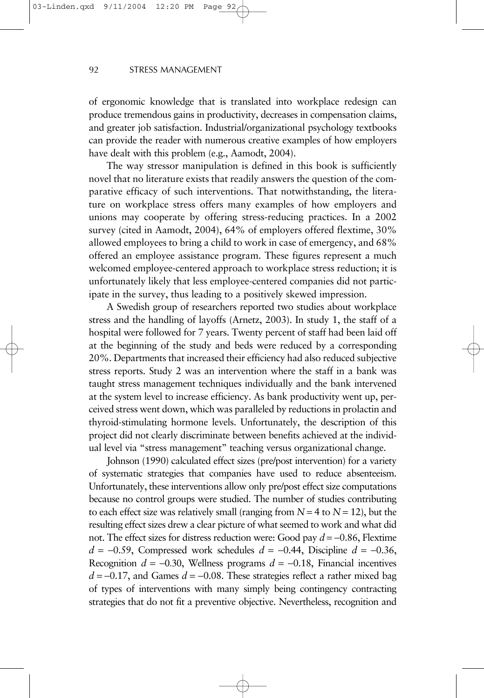of ergonomic knowledge that is translated into workplace redesign can produce tremendous gains in productivity, decreases in compensation claims, and greater job satisfaction. Industrial/organizational psychology textbooks can provide the reader with numerous creative examples of how employers have dealt with this problem (e.g., Aamodt, 2004).

The way stressor manipulation is defined in this book is sufficiently novel that no literature exists that readily answers the question of the comparative efficacy of such interventions. That notwithstanding, the literature on workplace stress offers many examples of how employers and unions may cooperate by offering stress-reducing practices. In a 2002 survey (cited in Aamodt, 2004), 64% of employers offered flextime, 30% allowed employees to bring a child to work in case of emergency, and 68% offered an employee assistance program. These figures represent a much welcomed employee-centered approach to workplace stress reduction; it is unfortunately likely that less employee-centered companies did not participate in the survey, thus leading to a positively skewed impression.

A Swedish group of researchers reported two studies about workplace stress and the handling of layoffs (Arnetz, 2003). In study 1, the staff of a hospital were followed for 7 years. Twenty percent of staff had been laid off at the beginning of the study and beds were reduced by a corresponding 20%. Departments that increased their efficiency had also reduced subjective stress reports. Study 2 was an intervention where the staff in a bank was taught stress management techniques individually and the bank intervened at the system level to increase efficiency. As bank productivity went up, perceived stress went down, which was paralleled by reductions in prolactin and thyroid-stimulating hormone levels. Unfortunately, the description of this project did not clearly discriminate between benefits achieved at the individual level via "stress management" teaching versus organizational change.

Johnson (1990) calculated effect sizes (pre/post intervention) for a variety of systematic strategies that companies have used to reduce absenteeism. Unfortunately, these interventions allow only pre/post effect size computations because no control groups were studied. The number of studies contributing to each effect size was relatively small (ranging from  $N = 4$  to  $N = 12$ ), but the resulting effect sizes drew a clear picture of what seemed to work and what did not. The effect sizes for distress reduction were: Good pay *d* = −0.86, Flextime *d* = −0.59, Compressed work schedules *d* = −0.44, Discipline *d* = −0.36, Recognition  $d = -0.30$ , Wellness programs  $d = -0.18$ , Financial incentives *d* = −0.17, and Games *d* = −0.08. These strategies reflect a rather mixed bag of types of interventions with many simply being contingency contracting strategies that do not fit a preventive objective. Nevertheless, recognition and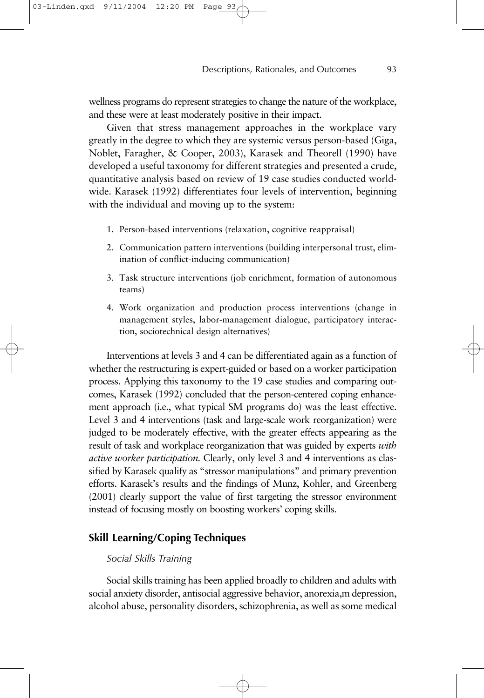wellness programs do represent strategies to change the nature of the workplace, and these were at least moderately positive in their impact.

Given that stress management approaches in the workplace vary greatly in the degree to which they are systemic versus person-based (Giga, Noblet, Faragher, & Cooper, 2003), Karasek and Theorell (1990) have developed a useful taxonomy for different strategies and presented a crude, quantitative analysis based on review of 19 case studies conducted worldwide. Karasek (1992) differentiates four levels of intervention, beginning with the individual and moving up to the system:

- 1. Person-based interventions (relaxation, cognitive reappraisal)
- 2. Communication pattern interventions (building interpersonal trust, elimination of conflict-inducing communication)
- 3. Task structure interventions (job enrichment, formation of autonomous teams)
- 4. Work organization and production process interventions (change in management styles, labor-management dialogue, participatory interaction, sociotechnical design alternatives)

Interventions at levels 3 and 4 can be differentiated again as a function of whether the restructuring is expert-guided or based on a worker participation process. Applying this taxonomy to the 19 case studies and comparing outcomes, Karasek (1992) concluded that the person-centered coping enhancement approach (i.e., what typical SM programs do) was the least effective. Level 3 and 4 interventions (task and large-scale work reorganization) were judged to be moderately effective, with the greater effects appearing as the result of task and workplace reorganization that was guided by experts *with active worker participation.* Clearly, only level 3 and 4 interventions as classified by Karasek qualify as "stressor manipulations" and primary prevention efforts. Karasek's results and the findings of Munz, Kohler, and Greenberg (2001) clearly support the value of first targeting the stressor environment instead of focusing mostly on boosting workers' coping skills.

### **Skill Learning/Coping Techniques**

### *Social Skills Training*

Social skills training has been applied broadly to children and adults with social anxiety disorder, antisocial aggressive behavior, anorexia,m depression, alcohol abuse, personality disorders, schizophrenia, as well as some medical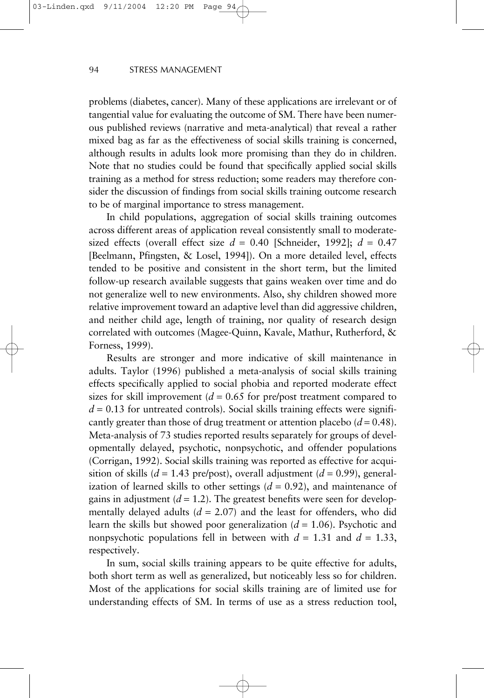problems (diabetes, cancer). Many of these applications are irrelevant or of tangential value for evaluating the outcome of SM. There have been numerous published reviews (narrative and meta-analytical) that reveal a rather mixed bag as far as the effectiveness of social skills training is concerned, although results in adults look more promising than they do in children. Note that no studies could be found that specifically applied social skills training as a method for stress reduction; some readers may therefore consider the discussion of findings from social skills training outcome research to be of marginal importance to stress management.

In child populations, aggregation of social skills training outcomes across different areas of application reveal consistently small to moderatesized effects (overall effect size *d* = 0.40 [Schneider, 1992]; *d* = 0.47 [Beelmann, Pfingsten, & Losel, 1994]). On a more detailed level, effects tended to be positive and consistent in the short term, but the limited follow-up research available suggests that gains weaken over time and do not generalize well to new environments. Also, shy children showed more relative improvement toward an adaptive level than did aggressive children, and neither child age, length of training, nor quality of research design correlated with outcomes (Magee-Quinn, Kavale, Mathur, Rutherford, & Forness, 1999).

Results are stronger and more indicative of skill maintenance in adults. Taylor (1996) published a meta-analysis of social skills training effects specifically applied to social phobia and reported moderate effect sizes for skill improvement  $(d = 0.65$  for pre/post treatment compared to  $d = 0.13$  for untreated controls). Social skills training effects were significantly greater than those of drug treatment or attention placebo  $(d = 0.48)$ . Meta-analysis of 73 studies reported results separately for groups of developmentally delayed, psychotic, nonpsychotic, and offender populations (Corrigan, 1992). Social skills training was reported as effective for acquisition of skills ( $d = 1.43$  pre/post), overall adjustment ( $d = 0.99$ ), generalization of learned skills to other settings  $(d = 0.92)$ , and maintenance of gains in adjustment  $(d = 1.2)$ . The greatest benefits were seen for developmentally delayed adults  $(d = 2.07)$  and the least for offenders, who did learn the skills but showed poor generalization  $(d = 1.06)$ . Psychotic and nonpsychotic populations fell in between with  $d = 1.31$  and  $d = 1.33$ , respectively.

In sum, social skills training appears to be quite effective for adults, both short term as well as generalized, but noticeably less so for children. Most of the applications for social skills training are of limited use for understanding effects of SM. In terms of use as a stress reduction tool,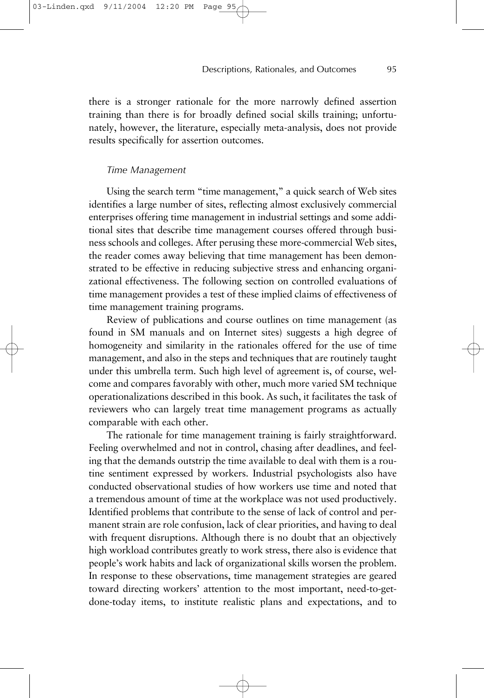there is a stronger rationale for the more narrowly defined assertion training than there is for broadly defined social skills training; unfortunately, however, the literature, especially meta-analysis, does not provide results specifically for assertion outcomes.

### *Time Management*

 $12:20$ 

Using the search term "time management," a quick search of Web sites identifies a large number of sites, reflecting almost exclusively commercial enterprises offering time management in industrial settings and some additional sites that describe time management courses offered through business schools and colleges. After perusing these more-commercial Web sites, the reader comes away believing that time management has been demonstrated to be effective in reducing subjective stress and enhancing organizational effectiveness. The following section on controlled evaluations of time management provides a test of these implied claims of effectiveness of time management training programs.

Review of publications and course outlines on time management (as found in SM manuals and on Internet sites) suggests a high degree of homogeneity and similarity in the rationales offered for the use of time management, and also in the steps and techniques that are routinely taught under this umbrella term. Such high level of agreement is, of course, welcome and compares favorably with other, much more varied SM technique operationalizations described in this book. As such, it facilitates the task of reviewers who can largely treat time management programs as actually comparable with each other.

The rationale for time management training is fairly straightforward. Feeling overwhelmed and not in control, chasing after deadlines, and feeling that the demands outstrip the time available to deal with them is a routine sentiment expressed by workers. Industrial psychologists also have conducted observational studies of how workers use time and noted that a tremendous amount of time at the workplace was not used productively. Identified problems that contribute to the sense of lack of control and permanent strain are role confusion, lack of clear priorities, and having to deal with frequent disruptions. Although there is no doubt that an objectively high workload contributes greatly to work stress, there also is evidence that people's work habits and lack of organizational skills worsen the problem. In response to these observations, time management strategies are geared toward directing workers' attention to the most important, need-to-getdone-today items, to institute realistic plans and expectations, and to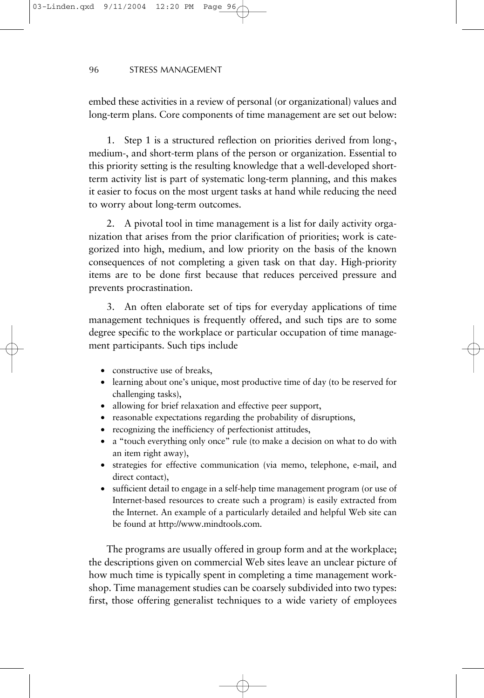embed these activities in a review of personal (or organizational) values and long-term plans. Core components of time management are set out below:

1. Step 1 is a structured reflection on priorities derived from long-, medium-, and short-term plans of the person or organization. Essential to this priority setting is the resulting knowledge that a well-developed shortterm activity list is part of systematic long-term planning, and this makes it easier to focus on the most urgent tasks at hand while reducing the need to worry about long-term outcomes.

2. A pivotal tool in time management is a list for daily activity organization that arises from the prior clarification of priorities; work is categorized into high, medium, and low priority on the basis of the known consequences of not completing a given task on that day. High-priority items are to be done first because that reduces perceived pressure and prevents procrastination.

3. An often elaborate set of tips for everyday applications of time management techniques is frequently offered, and such tips are to some degree specific to the workplace or particular occupation of time management participants. Such tips include

- constructive use of breaks,
- learning about one's unique, most productive time of day (to be reserved for challenging tasks),
- allowing for brief relaxation and effective peer support,
- reasonable expectations regarding the probability of disruptions,
- recognizing the inefficiency of perfectionist attitudes,
- a "touch everything only once" rule (to make a decision on what to do with an item right away),
- strategies for effective communication (via memo, telephone, e-mail, and direct contact),
- sufficient detail to engage in a self-help time management program (or use of Internet-based resources to create such a program) is easily extracted from the Internet. An example of a particularly detailed and helpful Web site can be found at http://www.mindtools.com.

The programs are usually offered in group form and at the workplace; the descriptions given on commercial Web sites leave an unclear picture of how much time is typically spent in completing a time management workshop. Time management studies can be coarsely subdivided into two types: first, those offering generalist techniques to a wide variety of employees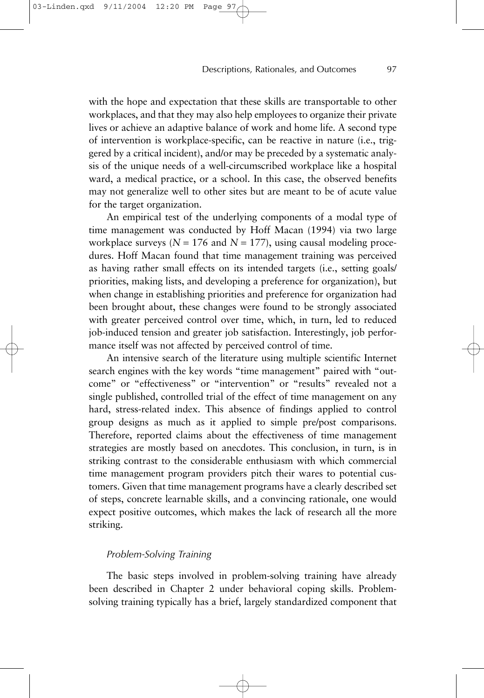with the hope and expectation that these skills are transportable to other workplaces, and that they may also help employees to organize their private lives or achieve an adaptive balance of work and home life. A second type of intervention is workplace-specific, can be reactive in nature (i.e., triggered by a critical incident), and/or may be preceded by a systematic analysis of the unique needs of a well-circumscribed workplace like a hospital ward, a medical practice, or a school. In this case, the observed benefits may not generalize well to other sites but are meant to be of acute value for the target organization.

An empirical test of the underlying components of a modal type of time management was conducted by Hoff Macan (1994) via two large workplace surveys ( $N = 176$  and  $N = 177$ ), using causal modeling procedures. Hoff Macan found that time management training was perceived as having rather small effects on its intended targets (i.e., setting goals/ priorities, making lists, and developing a preference for organization), but when change in establishing priorities and preference for organization had been brought about, these changes were found to be strongly associated with greater perceived control over time, which, in turn, led to reduced job-induced tension and greater job satisfaction. Interestingly, job performance itself was not affected by perceived control of time.

An intensive search of the literature using multiple scientific Internet search engines with the key words "time management" paired with "outcome" or "effectiveness" or "intervention" or "results" revealed not a single published, controlled trial of the effect of time management on any hard, stress-related index. This absence of findings applied to control group designs as much as it applied to simple pre/post comparisons. Therefore, reported claims about the effectiveness of time management strategies are mostly based on anecdotes. This conclusion, in turn, is in striking contrast to the considerable enthusiasm with which commercial time management program providers pitch their wares to potential customers. Given that time management programs have a clearly described set of steps, concrete learnable skills, and a convincing rationale, one would expect positive outcomes, which makes the lack of research all the more striking.

# *Problem-Solving Training*

03-Linden.qxd 9/11/2004 12:20

The basic steps involved in problem-solving training have already been described in Chapter 2 under behavioral coping skills. Problemsolving training typically has a brief, largely standardized component that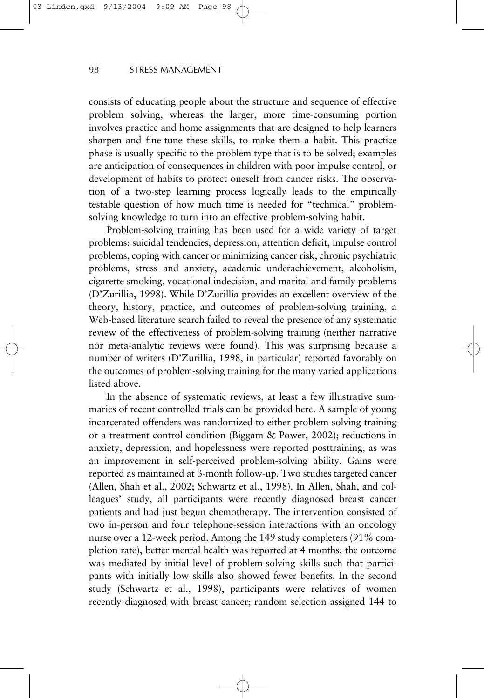consists of educating people about the structure and sequence of effective problem solving, whereas the larger, more time-consuming portion involves practice and home assignments that are designed to help learners sharpen and fine-tune these skills, to make them a habit. This practice phase is usually specific to the problem type that is to be solved; examples are anticipation of consequences in children with poor impulse control, or development of habits to protect oneself from cancer risks. The observation of a two-step learning process logically leads to the empirically testable question of how much time is needed for "technical" problemsolving knowledge to turn into an effective problem-solving habit.

Problem-solving training has been used for a wide variety of target problems: suicidal tendencies, depression, attention deficit, impulse control problems, coping with cancer or minimizing cancer risk, chronic psychiatric problems, stress and anxiety, academic underachievement, alcoholism, cigarette smoking, vocational indecision, and marital and family problems (D'Zurillia, 1998). While D'Zurillia provides an excellent overview of the theory, history, practice, and outcomes of problem-solving training, a Web-based literature search failed to reveal the presence of any systematic review of the effectiveness of problem-solving training (neither narrative nor meta-analytic reviews were found). This was surprising because a number of writers (D'Zurillia, 1998, in particular) reported favorably on the outcomes of problem-solving training for the many varied applications listed above.

In the absence of systematic reviews, at least a few illustrative summaries of recent controlled trials can be provided here. A sample of young incarcerated offenders was randomized to either problem-solving training or a treatment control condition (Biggam & Power, 2002); reductions in anxiety, depression, and hopelessness were reported posttraining, as was an improvement in self-perceived problem-solving ability. Gains were reported as maintained at 3-month follow-up. Two studies targeted cancer (Allen, Shah et al., 2002; Schwartz et al., 1998). In Allen, Shah, and colleagues' study, all participants were recently diagnosed breast cancer patients and had just begun chemotherapy. The intervention consisted of two in-person and four telephone-session interactions with an oncology nurse over a 12-week period. Among the 149 study completers (91% completion rate), better mental health was reported at 4 months; the outcome was mediated by initial level of problem-solving skills such that participants with initially low skills also showed fewer benefits. In the second study (Schwartz et al., 1998), participants were relatives of women recently diagnosed with breast cancer; random selection assigned 144 to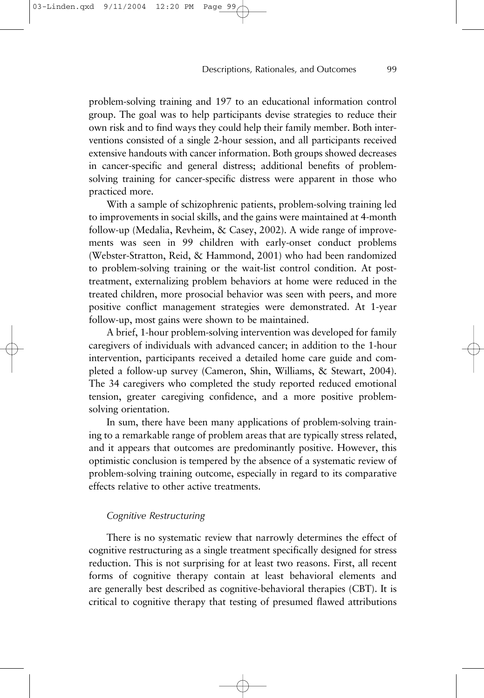problem-solving training and 197 to an educational information control group. The goal was to help participants devise strategies to reduce their own risk and to find ways they could help their family member. Both interventions consisted of a single 2-hour session, and all participants received extensive handouts with cancer information. Both groups showed decreases in cancer-specific and general distress; additional benefits of problemsolving training for cancer-specific distress were apparent in those who practiced more.

With a sample of schizophrenic patients, problem-solving training led to improvements in social skills, and the gains were maintained at 4-month follow-up (Medalia, Revheim, & Casey, 2002). A wide range of improvements was seen in 99 children with early-onset conduct problems (Webster-Stratton, Reid, & Hammond, 2001) who had been randomized to problem-solving training or the wait-list control condition. At posttreatment, externalizing problem behaviors at home were reduced in the treated children, more prosocial behavior was seen with peers, and more positive conflict management strategies were demonstrated. At 1-year follow-up, most gains were shown to be maintained.

A brief, 1-hour problem-solving intervention was developed for family caregivers of individuals with advanced cancer; in addition to the 1-hour intervention, participants received a detailed home care guide and completed a follow-up survey (Cameron, Shin, Williams, & Stewart, 2004). The 34 caregivers who completed the study reported reduced emotional tension, greater caregiving confidence, and a more positive problemsolving orientation.

In sum, there have been many applications of problem-solving training to a remarkable range of problem areas that are typically stress related, and it appears that outcomes are predominantly positive. However, this optimistic conclusion is tempered by the absence of a systematic review of problem-solving training outcome, especially in regard to its comparative effects relative to other active treatments.

#### *Cognitive Restructuring*

03-Linden.qxd 9/11/2004 12:20

There is no systematic review that narrowly determines the effect of cognitive restructuring as a single treatment specifically designed for stress reduction. This is not surprising for at least two reasons. First, all recent forms of cognitive therapy contain at least behavioral elements and are generally best described as cognitive-behavioral therapies (CBT). It is critical to cognitive therapy that testing of presumed flawed attributions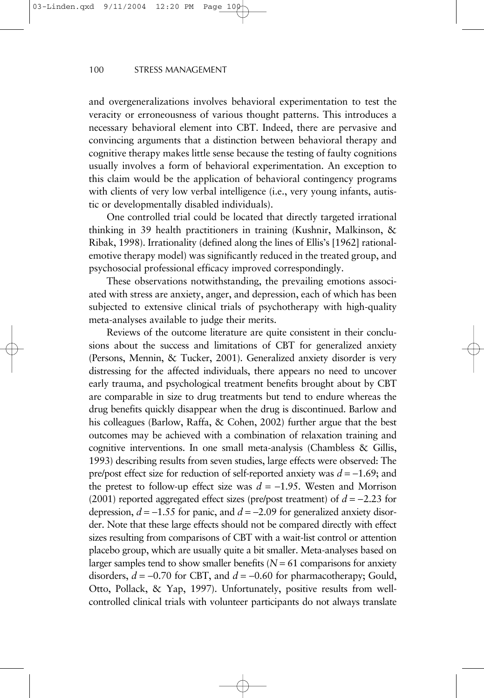and overgeneralizations involves behavioral experimentation to test the veracity or erroneousness of various thought patterns. This introduces a necessary behavioral element into CBT. Indeed, there are pervasive and convincing arguments that a distinction between behavioral therapy and cognitive therapy makes little sense because the testing of faulty cognitions usually involves a form of behavioral experimentation. An exception to this claim would be the application of behavioral contingency programs with clients of very low verbal intelligence (i.e., very young infants, autistic or developmentally disabled individuals).

One controlled trial could be located that directly targeted irrational thinking in 39 health practitioners in training (Kushnir, Malkinson, & Ribak, 1998). Irrationality (defined along the lines of Ellis's [1962] rationalemotive therapy model) was significantly reduced in the treated group, and psychosocial professional efficacy improved correspondingly.

These observations notwithstanding, the prevailing emotions associated with stress are anxiety, anger, and depression, each of which has been subjected to extensive clinical trials of psychotherapy with high-quality meta-analyses available to judge their merits.

Reviews of the outcome literature are quite consistent in their conclusions about the success and limitations of CBT for generalized anxiety (Persons, Mennin, & Tucker, 2001). Generalized anxiety disorder is very distressing for the affected individuals, there appears no need to uncover early trauma, and psychological treatment benefits brought about by CBT are comparable in size to drug treatments but tend to endure whereas the drug benefits quickly disappear when the drug is discontinued. Barlow and his colleagues (Barlow, Raffa, & Cohen, 2002) further argue that the best outcomes may be achieved with a combination of relaxation training and cognitive interventions. In one small meta-analysis (Chambless & Gillis, 1993) describing results from seven studies, large effects were observed: The pre/post effect size for reduction of self-reported anxiety was *d* = −1.69; and the pretest to follow-up effect size was *d* = −1.95. Westen and Morrison (2001) reported aggregated effect sizes (pre/post treatment) of *d* = −2.23 for depression, *d* = −1.55 for panic, and *d* = −2.09 for generalized anxiety disorder. Note that these large effects should not be compared directly with effect sizes resulting from comparisons of CBT with a wait-list control or attention placebo group, which are usually quite a bit smaller. Meta-analyses based on larger samples tend to show smaller benefits  $(N = 61)$  comparisons for anxiety disorders, *d* = −0.70 for CBT, and *d* = −0.60 for pharmacotherapy; Gould, Otto, Pollack, & Yap, 1997). Unfortunately, positive results from wellcontrolled clinical trials with volunteer participants do not always translate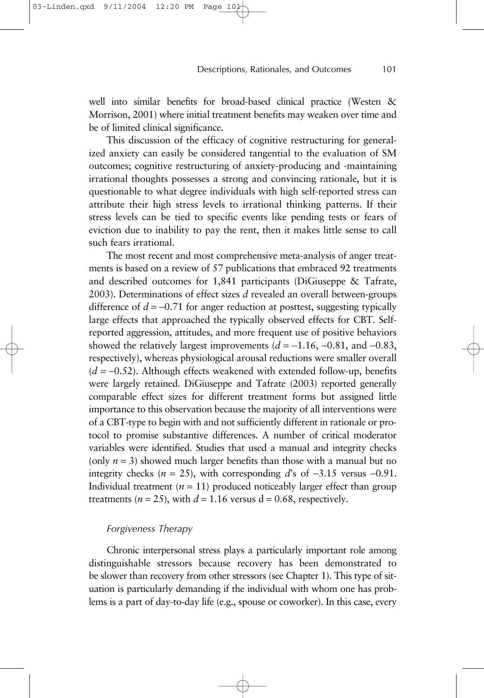well into similar benefits for broad-based clinical practice (Westen & Morrison, 2001) where initial treatment benefits may weaken over time and be of limited clinical significance.

This discussion of the efficacy of cognitive restructuring for generalized anxiety can easily be considered tangential to the evaluation of SM outcomes; cognitive restructuring of anxiety-producing and -maintaining irrational thoughts possesses a strong and convincing rationale, but it is questionable to what degree individuals with high self-reported stress can attribute their high stress levels to irrational thinking patterns. If their stress levels can be tied to specific events like pending tests or fears of eviction due to inability to pay the rent, then it makes little sense to call such fears irrational.

The most recent and most comprehensive meta-analysis of anger treatments is based on a review of 57 publications that embraced 92 treatments and described outcomes for 1,841 participants (DiGiuseppe & Tafrate, 2003). Determinations of effect sizes *d* revealed an overall between-groups difference of  $d = -0.71$  for anger reduction at posttest, suggesting typically large effects that approached the typically observed effects for CBT. Selfreported aggression, attitudes, and more frequent use of positive behaviors showed the relatively largest improvements  $(d = -1.16, -0.81,$  and  $-0.83,$ respectively), whereas physiological arousal reductions were smaller overall (*d* <sup>=</sup> −0.52). Although effects weakened with extended follow-up, benefits were largely retained. DiGiuseppe and Tafrate (2003) reported generally comparable effect sizes for different treatment forms but assigned little importance to this observation because the majority of all interventions were of a CBT-type to begin with and not sufficiently different in rationale or protocol to promise substantive differences. A number of critical moderator variables were identified. Studies that used a manual and integrity checks (only *n* = 3) showed much larger benefits than those with a manual but no integrity checks ( $n = 25$ ), with corresponding *d*'s of −3.15 versus −0.91. Individual treatment  $(n = 11)$  produced noticeably larger effect than group treatments ( $n = 25$ ), with  $d = 1.16$  versus  $d = 0.68$ , respectively.

#### *Forgiveness Therapy*

Chronic interpersonal stress plays a particularly important role among distinguishable stressors because recovery has been demonstrated to be slower than recovery from other stressors (see Chapter 1). This type of situation is particularly demanding if the individual with whom one has problems is a part of day-to-day life (e.g., spouse or coworker). In this case, every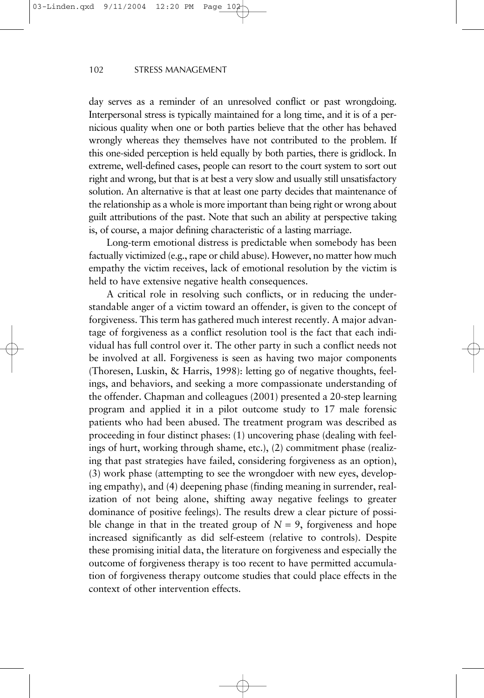day serves as a reminder of an unresolved conflict or past wrongdoing. Interpersonal stress is typically maintained for a long time, and it is of a pernicious quality when one or both parties believe that the other has behaved wrongly whereas they themselves have not contributed to the problem. If this one-sided perception is held equally by both parties, there is gridlock. In extreme, well-defined cases, people can resort to the court system to sort out right and wrong, but that is at best a very slow and usually still unsatisfactory solution. An alternative is that at least one party decides that maintenance of the relationship as a whole is more important than being right or wrong about guilt attributions of the past. Note that such an ability at perspective taking is, of course, a major defining characteristic of a lasting marriage.

Long-term emotional distress is predictable when somebody has been factually victimized (e.g., rape or child abuse). However, no matter how much empathy the victim receives, lack of emotional resolution by the victim is held to have extensive negative health consequences.

A critical role in resolving such conflicts, or in reducing the understandable anger of a victim toward an offender, is given to the concept of forgiveness. This term has gathered much interest recently. A major advantage of forgiveness as a conflict resolution tool is the fact that each individual has full control over it. The other party in such a conflict needs not be involved at all. Forgiveness is seen as having two major components (Thoresen, Luskin, & Harris, 1998): letting go of negative thoughts, feelings, and behaviors, and seeking a more compassionate understanding of the offender. Chapman and colleagues (2001) presented a 20-step learning program and applied it in a pilot outcome study to 17 male forensic patients who had been abused. The treatment program was described as proceeding in four distinct phases: (1) uncovering phase (dealing with feelings of hurt, working through shame, etc.), (2) commitment phase (realizing that past strategies have failed, considering forgiveness as an option), (3) work phase (attempting to see the wrongdoer with new eyes, developing empathy), and (4) deepening phase (finding meaning in surrender, realization of not being alone, shifting away negative feelings to greater dominance of positive feelings). The results drew a clear picture of possible change in that in the treated group of  $N = 9$ , forgiveness and hope increased significantly as did self-esteem (relative to controls). Despite these promising initial data, the literature on forgiveness and especially the outcome of forgiveness therapy is too recent to have permitted accumulation of forgiveness therapy outcome studies that could place effects in the context of other intervention effects.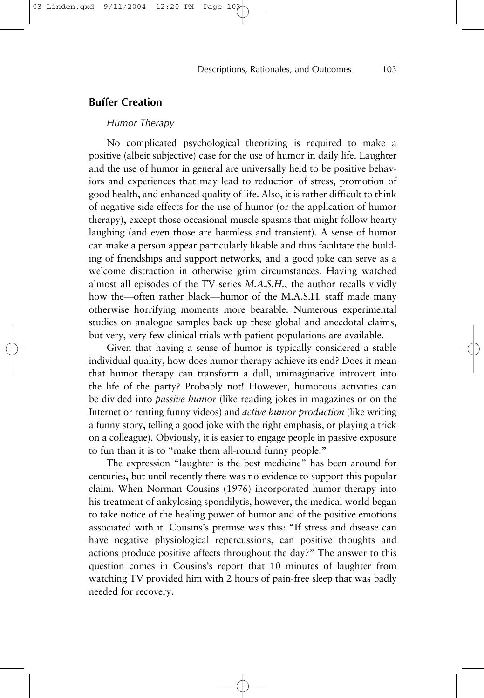# **Buffer Creation**

#### *Humor Therapy*

No complicated psychological theorizing is required to make a positive (albeit subjective) case for the use of humor in daily life. Laughter and the use of humor in general are universally held to be positive behaviors and experiences that may lead to reduction of stress, promotion of good health, and enhanced quality of life. Also, it is rather difficult to think of negative side effects for the use of humor (or the application of humor therapy), except those occasional muscle spasms that might follow hearty laughing (and even those are harmless and transient). A sense of humor can make a person appear particularly likable and thus facilitate the building of friendships and support networks, and a good joke can serve as a welcome distraction in otherwise grim circumstances. Having watched almost all episodes of the TV series *M.A.S.H.*, the author recalls vividly how the—often rather black—humor of the M.A.S.H. staff made many otherwise horrifying moments more bearable. Numerous experimental studies on analogue samples back up these global and anecdotal claims, but very, very few clinical trials with patient populations are available.

Given that having a sense of humor is typically considered a stable individual quality, how does humor therapy achieve its end? Does it mean that humor therapy can transform a dull, unimaginative introvert into the life of the party? Probably not! However, humorous activities can be divided into *passive humor* (like reading jokes in magazines or on the Internet or renting funny videos) and *active humor production* (like writing a funny story, telling a good joke with the right emphasis, or playing a trick on a colleague). Obviously, it is easier to engage people in passive exposure to fun than it is to "make them all-round funny people."

The expression "laughter is the best medicine" has been around for centuries, but until recently there was no evidence to support this popular claim. When Norman Cousins (1976) incorporated humor therapy into his treatment of ankylosing spondilytis, however, the medical world began to take notice of the healing power of humor and of the positive emotions associated with it. Cousins's premise was this: "If stress and disease can have negative physiological repercussions, can positive thoughts and actions produce positive affects throughout the day?" The answer to this question comes in Cousins's report that 10 minutes of laughter from watching TV provided him with 2 hours of pain-free sleep that was badly needed for recovery.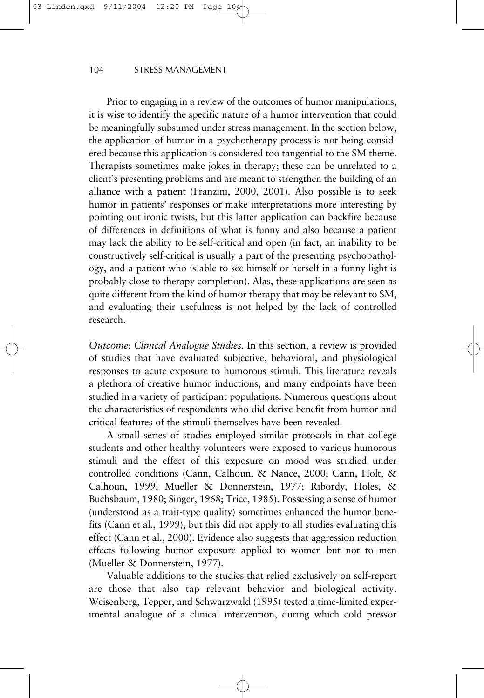Prior to engaging in a review of the outcomes of humor manipulations, it is wise to identify the specific nature of a humor intervention that could be meaningfully subsumed under stress management. In the section below, the application of humor in a psychotherapy process is not being considered because this application is considered too tangential to the SM theme. Therapists sometimes make jokes in therapy; these can be unrelated to a client's presenting problems and are meant to strengthen the building of an alliance with a patient (Franzini, 2000, 2001). Also possible is to seek humor in patients' responses or make interpretations more interesting by pointing out ironic twists, but this latter application can backfire because of differences in definitions of what is funny and also because a patient may lack the ability to be self-critical and open (in fact, an inability to be constructively self-critical is usually a part of the presenting psychopathology, and a patient who is able to see himself or herself in a funny light is probably close to therapy completion). Alas, these applications are seen as quite different from the kind of humor therapy that may be relevant to SM, and evaluating their usefulness is not helped by the lack of controlled research.

*Outcome: Clinical Analogue Studies.* In this section, a review is provided of studies that have evaluated subjective, behavioral, and physiological responses to acute exposure to humorous stimuli. This literature reveals a plethora of creative humor inductions, and many endpoints have been studied in a variety of participant populations. Numerous questions about the characteristics of respondents who did derive benefit from humor and critical features of the stimuli themselves have been revealed.

A small series of studies employed similar protocols in that college students and other healthy volunteers were exposed to various humorous stimuli and the effect of this exposure on mood was studied under controlled conditions (Cann, Calhoun, & Nance, 2000; Cann, Holt, & Calhoun, 1999; Mueller & Donnerstein, 1977; Ribordy, Holes, & Buchsbaum, 1980; Singer, 1968; Trice, 1985). Possessing a sense of humor (understood as a trait-type quality) sometimes enhanced the humor benefits (Cann et al., 1999), but this did not apply to all studies evaluating this effect (Cann et al., 2000). Evidence also suggests that aggression reduction effects following humor exposure applied to women but not to men (Mueller & Donnerstein, 1977).

Valuable additions to the studies that relied exclusively on self-report are those that also tap relevant behavior and biological activity. Weisenberg, Tepper, and Schwarzwald (1995) tested a time-limited experimental analogue of a clinical intervention, during which cold pressor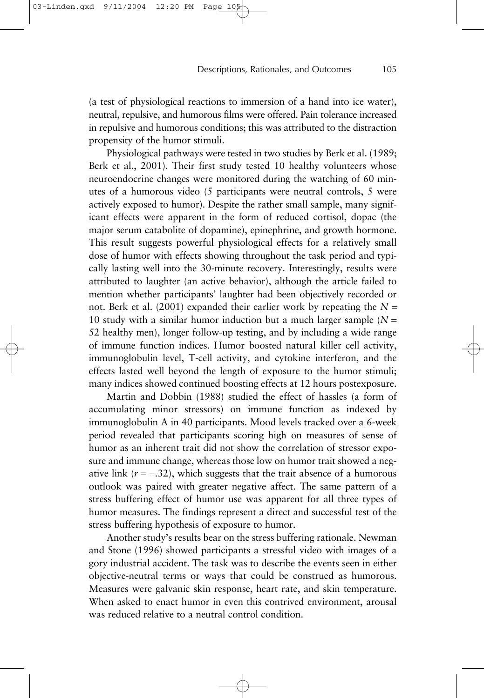(a test of physiological reactions to immersion of a hand into ice water), neutral, repulsive, and humorous films were offered. Pain tolerance increased in repulsive and humorous conditions; this was attributed to the distraction propensity of the humor stimuli.

Physiological pathways were tested in two studies by Berk et al. (1989; Berk et al., 2001). Their first study tested 10 healthy volunteers whose neuroendocrine changes were monitored during the watching of 60 minutes of a humorous video (5 participants were neutral controls, 5 were actively exposed to humor). Despite the rather small sample, many significant effects were apparent in the form of reduced cortisol, dopac (the major serum catabolite of dopamine), epinephrine, and growth hormone. This result suggests powerful physiological effects for a relatively small dose of humor with effects showing throughout the task period and typically lasting well into the 30-minute recovery. Interestingly, results were attributed to laughter (an active behavior), although the article failed to mention whether participants' laughter had been objectively recorded or not. Berk et al. (2001) expanded their earlier work by repeating the *N* <sup>=</sup> 10 study with a similar humor induction but a much larger sample  $(N =$ 52 healthy men), longer follow-up testing, and by including a wide range of immune function indices. Humor boosted natural killer cell activity, immunoglobulin level, T-cell activity, and cytokine interferon, and the effects lasted well beyond the length of exposure to the humor stimuli; many indices showed continued boosting effects at 12 hours postexposure.

Martin and Dobbin (1988) studied the effect of hassles (a form of accumulating minor stressors) on immune function as indexed by immunoglobulin A in 40 participants. Mood levels tracked over a 6-week period revealed that participants scoring high on measures of sense of humor as an inherent trait did not show the correlation of stressor exposure and immune change, whereas those low on humor trait showed a negative link  $(r = -.32)$ , which suggests that the trait absence of a humorous outlook was paired with greater negative affect. The same pattern of a stress buffering effect of humor use was apparent for all three types of humor measures. The findings represent a direct and successful test of the stress buffering hypothesis of exposure to humor.

Another study's results bear on the stress buffering rationale. Newman and Stone (1996) showed participants a stressful video with images of a gory industrial accident. The task was to describe the events seen in either objective-neutral terms or ways that could be construed as humorous. Measures were galvanic skin response, heart rate, and skin temperature. When asked to enact humor in even this contrived environment, arousal was reduced relative to a neutral control condition.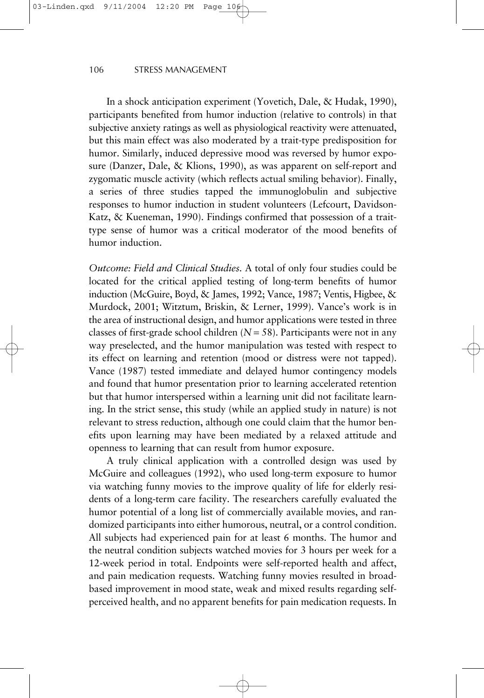In a shock anticipation experiment (Yovetich, Dale, & Hudak, 1990), participants benefited from humor induction (relative to controls) in that subjective anxiety ratings as well as physiological reactivity were attenuated, but this main effect was also moderated by a trait-type predisposition for humor. Similarly, induced depressive mood was reversed by humor exposure (Danzer, Dale, & Klions, 1990), as was apparent on self-report and zygomatic muscle activity (which reflects actual smiling behavior). Finally, a series of three studies tapped the immunoglobulin and subjective responses to humor induction in student volunteers (Lefcourt, Davidson-Katz, & Kueneman, 1990). Findings confirmed that possession of a traittype sense of humor was a critical moderator of the mood benefits of humor induction.

*Outcome: Field and Clinical Studies.* A total of only four studies could be located for the critical applied testing of long-term benefits of humor induction (McGuire, Boyd, & James, 1992; Vance, 1987; Ventis, Higbee, & Murdock, 2001; Witztum, Briskin, & Lerner, 1999). Vance's work is in the area of instructional design, and humor applications were tested in three classes of first-grade school children (*N* = 58). Participants were not in any way preselected, and the humor manipulation was tested with respect to its effect on learning and retention (mood or distress were not tapped). Vance (1987) tested immediate and delayed humor contingency models and found that humor presentation prior to learning accelerated retention but that humor interspersed within a learning unit did not facilitate learning. In the strict sense, this study (while an applied study in nature) is not relevant to stress reduction, although one could claim that the humor benefits upon learning may have been mediated by a relaxed attitude and openness to learning that can result from humor exposure.

A truly clinical application with a controlled design was used by McGuire and colleagues (1992), who used long-term exposure to humor via watching funny movies to the improve quality of life for elderly residents of a long-term care facility. The researchers carefully evaluated the humor potential of a long list of commercially available movies, and randomized participants into either humorous, neutral, or a control condition. All subjects had experienced pain for at least 6 months. The humor and the neutral condition subjects watched movies for 3 hours per week for a 12-week period in total. Endpoints were self-reported health and affect, and pain medication requests. Watching funny movies resulted in broadbased improvement in mood state, weak and mixed results regarding selfperceived health, and no apparent benefits for pain medication requests. In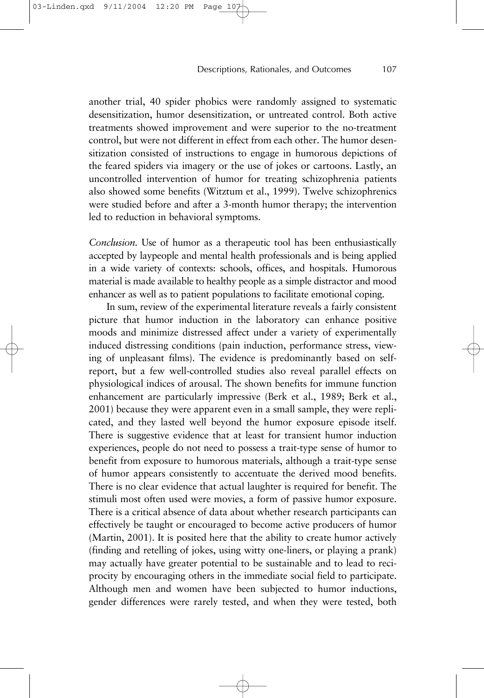another trial, 40 spider phobics were randomly assigned to systematic desensitization, humor desensitization, or untreated control. Both active treatments showed improvement and were superior to the no-treatment control, but were not different in effect from each other. The humor desensitization consisted of instructions to engage in humorous depictions of the feared spiders via imagery or the use of jokes or cartoons. Lastly, an uncontrolled intervention of humor for treating schizophrenia patients also showed some benefits (Witztum et al., 1999). Twelve schizophrenics were studied before and after a 3-month humor therapy; the intervention led to reduction in behavioral symptoms.

*Conclusion.* Use of humor as a therapeutic tool has been enthusiastically accepted by laypeople and mental health professionals and is being applied in a wide variety of contexts: schools, offices, and hospitals. Humorous material is made available to healthy people as a simple distractor and mood enhancer as well as to patient populations to facilitate emotional coping.

In sum, review of the experimental literature reveals a fairly consistent picture that humor induction in the laboratory can enhance positive moods and minimize distressed affect under a variety of experimentally induced distressing conditions (pain induction, performance stress, viewing of unpleasant films). The evidence is predominantly based on selfreport, but a few well-controlled studies also reveal parallel effects on physiological indices of arousal. The shown benefits for immune function enhancement are particularly impressive (Berk et al., 1989; Berk et al., 2001) because they were apparent even in a small sample, they were replicated, and they lasted well beyond the humor exposure episode itself. There is suggestive evidence that at least for transient humor induction experiences, people do not need to possess a trait-type sense of humor to benefit from exposure to humorous materials, although a trait-type sense of humor appears consistently to accentuate the derived mood benefits. There is no clear evidence that actual laughter is required for benefit. The stimuli most often used were movies, a form of passive humor exposure. There is a critical absence of data about whether research participants can effectively be taught or encouraged to become active producers of humor (Martin, 2001). It is posited here that the ability to create humor actively (finding and retelling of jokes, using witty one-liners, or playing a prank) may actually have greater potential to be sustainable and to lead to reciprocity by encouraging others in the immediate social field to participate. Although men and women have been subjected to humor inductions, gender differences were rarely tested, and when they were tested, both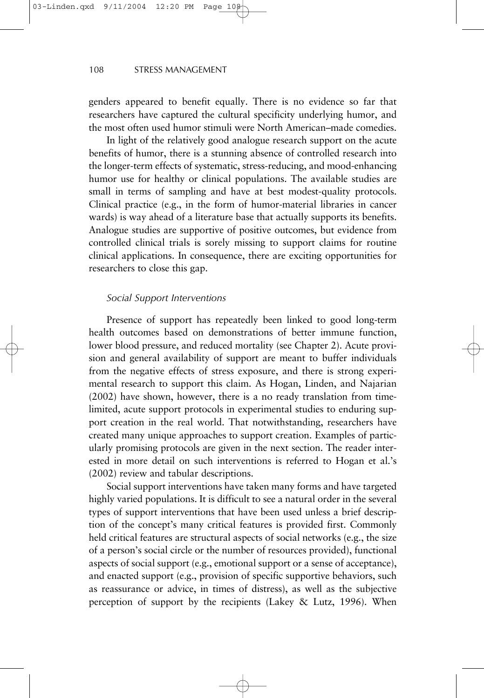genders appeared to benefit equally. There is no evidence so far that researchers have captured the cultural specificity underlying humor, and the most often used humor stimuli were North American–made comedies.

In light of the relatively good analogue research support on the acute benefits of humor, there is a stunning absence of controlled research into the longer-term effects of systematic, stress-reducing, and mood-enhancing humor use for healthy or clinical populations. The available studies are small in terms of sampling and have at best modest-quality protocols. Clinical practice (e.g., in the form of humor-material libraries in cancer wards) is way ahead of a literature base that actually supports its benefits. Analogue studies are supportive of positive outcomes, but evidence from controlled clinical trials is sorely missing to support claims for routine clinical applications. In consequence, there are exciting opportunities for researchers to close this gap.

#### *Social Support Interventions*

Presence of support has repeatedly been linked to good long-term health outcomes based on demonstrations of better immune function, lower blood pressure, and reduced mortality (see Chapter 2). Acute provision and general availability of support are meant to buffer individuals from the negative effects of stress exposure, and there is strong experimental research to support this claim. As Hogan, Linden, and Najarian (2002) have shown, however, there is a no ready translation from timelimited, acute support protocols in experimental studies to enduring support creation in the real world. That notwithstanding, researchers have created many unique approaches to support creation. Examples of particularly promising protocols are given in the next section. The reader interested in more detail on such interventions is referred to Hogan et al.'s (2002) review and tabular descriptions.

Social support interventions have taken many forms and have targeted highly varied populations. It is difficult to see a natural order in the several types of support interventions that have been used unless a brief description of the concept's many critical features is provided first. Commonly held critical features are structural aspects of social networks (e.g., the size of a person's social circle or the number of resources provided), functional aspects of social support (e.g., emotional support or a sense of acceptance), and enacted support (e.g., provision of specific supportive behaviors, such as reassurance or advice, in times of distress), as well as the subjective perception of support by the recipients (Lakey & Lutz, 1996). When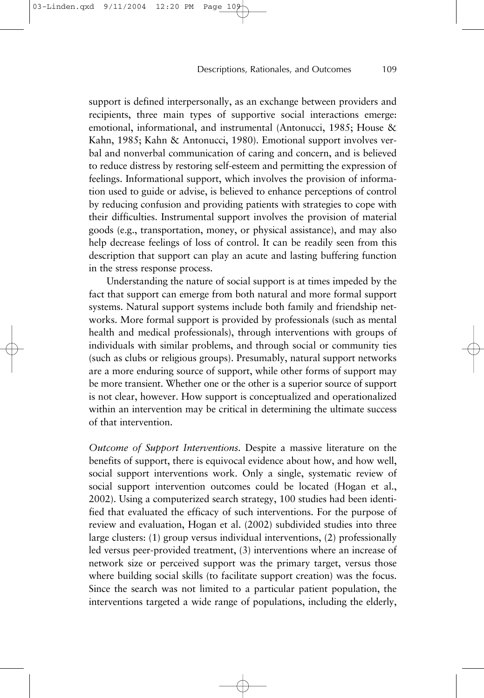support is defined interpersonally, as an exchange between providers and recipients, three main types of supportive social interactions emerge: emotional, informational, and instrumental (Antonucci, 1985; House & Kahn, 1985; Kahn & Antonucci, 1980). Emotional support involves verbal and nonverbal communication of caring and concern, and is believed to reduce distress by restoring self-esteem and permitting the expression of feelings. Informational support, which involves the provision of information used to guide or advise, is believed to enhance perceptions of control by reducing confusion and providing patients with strategies to cope with their difficulties. Instrumental support involves the provision of material goods (e.g., transportation, money, or physical assistance), and may also help decrease feelings of loss of control. It can be readily seen from this description that support can play an acute and lasting buffering function in the stress response process.

 $12:20$ 

Understanding the nature of social support is at times impeded by the fact that support can emerge from both natural and more formal support systems. Natural support systems include both family and friendship networks. More formal support is provided by professionals (such as mental health and medical professionals), through interventions with groups of individuals with similar problems, and through social or community ties (such as clubs or religious groups). Presumably, natural support networks are a more enduring source of support, while other forms of support may be more transient. Whether one or the other is a superior source of support is not clear, however. How support is conceptualized and operationalized within an intervention may be critical in determining the ultimate success of that intervention.

*Outcome of Support Interventions.* Despite a massive literature on the benefits of support, there is equivocal evidence about how, and how well, social support interventions work. Only a single, systematic review of social support intervention outcomes could be located (Hogan et al., 2002). Using a computerized search strategy, 100 studies had been identified that evaluated the efficacy of such interventions. For the purpose of review and evaluation, Hogan et al. (2002) subdivided studies into three large clusters: (1) group versus individual interventions, (2) professionally led versus peer-provided treatment, (3) interventions where an increase of network size or perceived support was the primary target, versus those where building social skills (to facilitate support creation) was the focus. Since the search was not limited to a particular patient population, the interventions targeted a wide range of populations, including the elderly,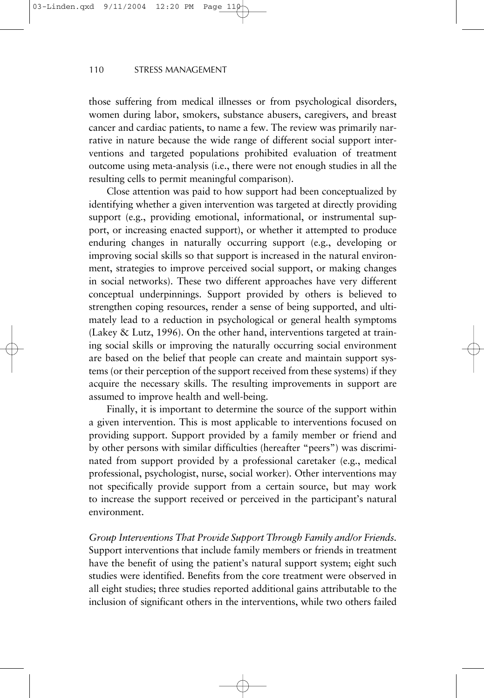those suffering from medical illnesses or from psychological disorders, women during labor, smokers, substance abusers, caregivers, and breast cancer and cardiac patients, to name a few. The review was primarily narrative in nature because the wide range of different social support interventions and targeted populations prohibited evaluation of treatment outcome using meta-analysis (i.e., there were not enough studies in all the resulting cells to permit meaningful comparison).

Close attention was paid to how support had been conceptualized by identifying whether a given intervention was targeted at directly providing support (e.g., providing emotional, informational, or instrumental support, or increasing enacted support), or whether it attempted to produce enduring changes in naturally occurring support (e.g., developing or improving social skills so that support is increased in the natural environment, strategies to improve perceived social support, or making changes in social networks). These two different approaches have very different conceptual underpinnings. Support provided by others is believed to strengthen coping resources, render a sense of being supported, and ultimately lead to a reduction in psychological or general health symptoms (Lakey & Lutz, 1996). On the other hand, interventions targeted at training social skills or improving the naturally occurring social environment are based on the belief that people can create and maintain support systems (or their perception of the support received from these systems) if they acquire the necessary skills. The resulting improvements in support are assumed to improve health and well-being.

Finally, it is important to determine the source of the support within a given intervention. This is most applicable to interventions focused on providing support. Support provided by a family member or friend and by other persons with similar difficulties (hereafter "peers") was discriminated from support provided by a professional caretaker (e.g., medical professional, psychologist, nurse, social worker). Other interventions may not specifically provide support from a certain source, but may work to increase the support received or perceived in the participant's natural environment.

*Group Interventions That Provide Support Through Family and/or Friends.* Support interventions that include family members or friends in treatment have the benefit of using the patient's natural support system; eight such studies were identified. Benefits from the core treatment were observed in all eight studies; three studies reported additional gains attributable to the inclusion of significant others in the interventions, while two others failed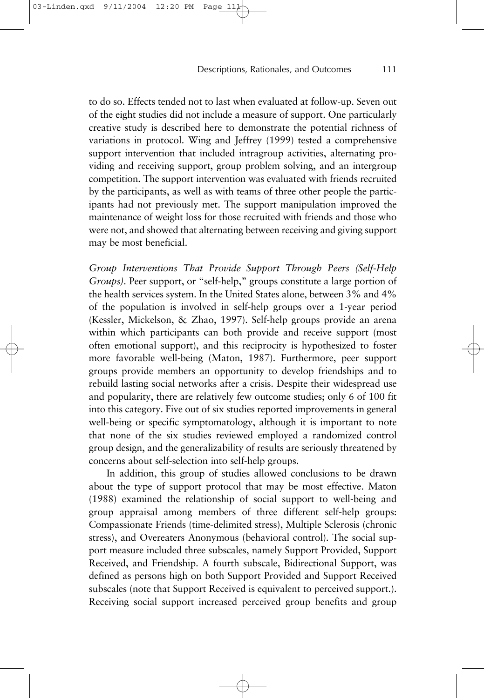to do so. Effects tended not to last when evaluated at follow-up. Seven out of the eight studies did not include a measure of support. One particularly creative study is described here to demonstrate the potential richness of variations in protocol. Wing and Jeffrey (1999) tested a comprehensive support intervention that included intragroup activities, alternating providing and receiving support, group problem solving, and an intergroup competition. The support intervention was evaluated with friends recruited by the participants, as well as with teams of three other people the partic-

03-Linden.qxd 9/11/2004 12:20 PM Page 112

ipants had not previously met. The support manipulation improved the maintenance of weight loss for those recruited with friends and those who were not, and showed that alternating between receiving and giving support may be most beneficial.

*Group Interventions That Provide Support Through Peers (Self-Help Groups).* Peer support, or "self-help," groups constitute a large portion of the health services system. In the United States alone, between 3% and 4% of the population is involved in self-help groups over a 1-year period (Kessler, Mickelson, & Zhao, 1997). Self-help groups provide an arena within which participants can both provide and receive support (most often emotional support), and this reciprocity is hypothesized to foster more favorable well-being (Maton, 1987). Furthermore, peer support groups provide members an opportunity to develop friendships and to rebuild lasting social networks after a crisis. Despite their widespread use and popularity, there are relatively few outcome studies; only 6 of 100 fit into this category. Five out of six studies reported improvements in general well-being or specific symptomatology, although it is important to note that none of the six studies reviewed employed a randomized control group design, and the generalizability of results are seriously threatened by concerns about self-selection into self-help groups.

In addition, this group of studies allowed conclusions to be drawn about the type of support protocol that may be most effective. Maton (1988) examined the relationship of social support to well-being and group appraisal among members of three different self-help groups: Compassionate Friends (time-delimited stress), Multiple Sclerosis (chronic stress), and Overeaters Anonymous (behavioral control). The social support measure included three subscales, namely Support Provided, Support Received, and Friendship. A fourth subscale, Bidirectional Support, was defined as persons high on both Support Provided and Support Received subscales (note that Support Received is equivalent to perceived support.). Receiving social support increased perceived group benefits and group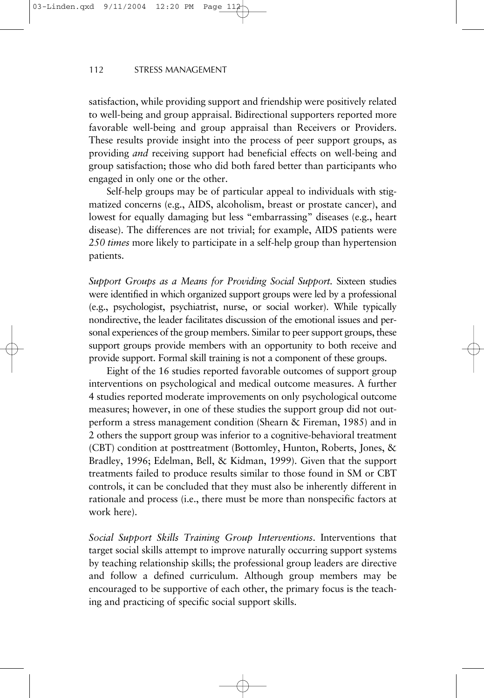satisfaction, while providing support and friendship were positively related to well-being and group appraisal. Bidirectional supporters reported more favorable well-being and group appraisal than Receivers or Providers. These results provide insight into the process of peer support groups, as providing *and* receiving support had beneficial effects on well-being and group satisfaction; those who did both fared better than participants who engaged in only one or the other.

Self-help groups may be of particular appeal to individuals with stigmatized concerns (e.g., AIDS, alcoholism, breast or prostate cancer), and lowest for equally damaging but less "embarrassing" diseases (e.g., heart disease). The differences are not trivial; for example, AIDS patients were *250 times* more likely to participate in a self-help group than hypertension patients.

*Support Groups as a Means for Providing Social Support.* Sixteen studies were identified in which organized support groups were led by a professional (e.g., psychologist, psychiatrist, nurse, or social worker). While typically nondirective, the leader facilitates discussion of the emotional issues and personal experiences of the group members. Similar to peer support groups, these support groups provide members with an opportunity to both receive and provide support. Formal skill training is not a component of these groups.

Eight of the 16 studies reported favorable outcomes of support group interventions on psychological and medical outcome measures. A further 4 studies reported moderate improvements on only psychological outcome measures; however, in one of these studies the support group did not outperform a stress management condition (Shearn & Fireman, 1985) and in 2 others the support group was inferior to a cognitive-behavioral treatment (CBT) condition at posttreatment (Bottomley, Hunton, Roberts, Jones, & Bradley, 1996; Edelman, Bell, & Kidman, 1999). Given that the support treatments failed to produce results similar to those found in SM or CBT controls, it can be concluded that they must also be inherently different in rationale and process (i.e., there must be more than nonspecific factors at work here).

*Social Support Skills Training Group Interventions*. Interventions that target social skills attempt to improve naturally occurring support systems by teaching relationship skills; the professional group leaders are directive and follow a defined curriculum. Although group members may be encouraged to be supportive of each other, the primary focus is the teaching and practicing of specific social support skills.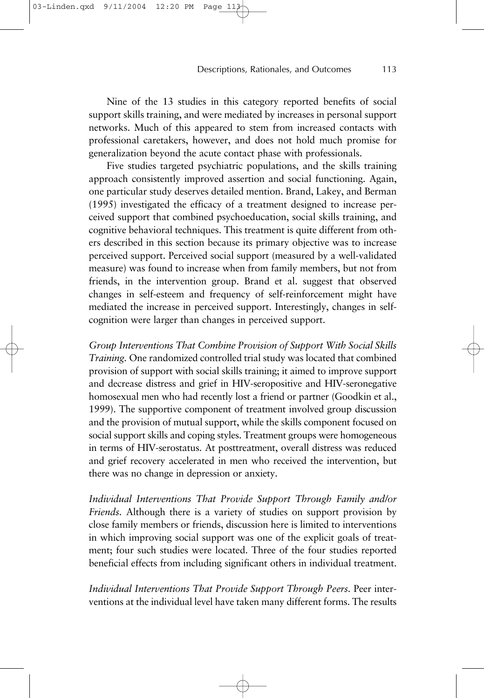Nine of the 13 studies in this category reported benefits of social support skills training, and were mediated by increases in personal support networks. Much of this appeared to stem from increased contacts with professional caretakers, however, and does not hold much promise for generalization beyond the acute contact phase with professionals.

Five studies targeted psychiatric populations, and the skills training approach consistently improved assertion and social functioning. Again, one particular study deserves detailed mention. Brand, Lakey, and Berman (1995) investigated the efficacy of a treatment designed to increase perceived support that combined psychoeducation, social skills training, and cognitive behavioral techniques. This treatment is quite different from others described in this section because its primary objective was to increase perceived support. Perceived social support (measured by a well-validated measure) was found to increase when from family members, but not from friends, in the intervention group. Brand et al. suggest that observed changes in self-esteem and frequency of self-reinforcement might have mediated the increase in perceived support. Interestingly, changes in selfcognition were larger than changes in perceived support.

*Group Interventions That Combine Provision of Support With Social Skills Training.* One randomized controlled trial study was located that combined provision of support with social skills training; it aimed to improve support and decrease distress and grief in HIV-seropositive and HIV-seronegative homosexual men who had recently lost a friend or partner (Goodkin et al., 1999). The supportive component of treatment involved group discussion and the provision of mutual support, while the skills component focused on social support skills and coping styles. Treatment groups were homogeneous in terms of HIV-serostatus. At posttreatment, overall distress was reduced and grief recovery accelerated in men who received the intervention, but there was no change in depression or anxiety.

*Individual Interventions That Provide Support Through Family and/or Friends.* Although there is a variety of studies on support provision by close family members or friends, discussion here is limited to interventions in which improving social support was one of the explicit goals of treatment; four such studies were located. Three of the four studies reported beneficial effects from including significant others in individual treatment.

*Individual Interventions That Provide Support Through Peers.* Peer interventions at the individual level have taken many different forms. The results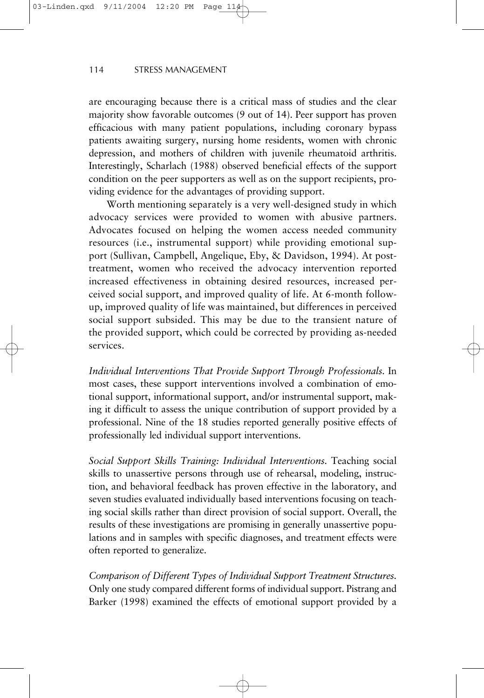are encouraging because there is a critical mass of studies and the clear majority show favorable outcomes (9 out of 14). Peer support has proven efficacious with many patient populations, including coronary bypass patients awaiting surgery, nursing home residents, women with chronic depression, and mothers of children with juvenile rheumatoid arthritis. Interestingly, Scharlach (1988) observed beneficial effects of the support condition on the peer supporters as well as on the support recipients, providing evidence for the advantages of providing support.

Worth mentioning separately is a very well-designed study in which advocacy services were provided to women with abusive partners. Advocates focused on helping the women access needed community resources (i.e., instrumental support) while providing emotional support (Sullivan, Campbell, Angelique, Eby, & Davidson, 1994). At posttreatment, women who received the advocacy intervention reported increased effectiveness in obtaining desired resources, increased perceived social support, and improved quality of life. At 6-month followup, improved quality of life was maintained, but differences in perceived social support subsided. This may be due to the transient nature of the provided support, which could be corrected by providing as-needed services.

*Individual Interventions That Provide Support Through Professionals.* In most cases, these support interventions involved a combination of emotional support, informational support, and/or instrumental support, making it difficult to assess the unique contribution of support provided by a professional. Nine of the 18 studies reported generally positive effects of professionally led individual support interventions.

*Social Support Skills Training: Individual Interventions.* Teaching social skills to unassertive persons through use of rehearsal, modeling, instruction, and behavioral feedback has proven effective in the laboratory, and seven studies evaluated individually based interventions focusing on teaching social skills rather than direct provision of social support. Overall, the results of these investigations are promising in generally unassertive populations and in samples with specific diagnoses, and treatment effects were often reported to generalize.

*Comparison of Different Types of Individual Support Treatment Structures.* Only one study compared different forms of individual support. Pistrang and Barker (1998) examined the effects of emotional support provided by a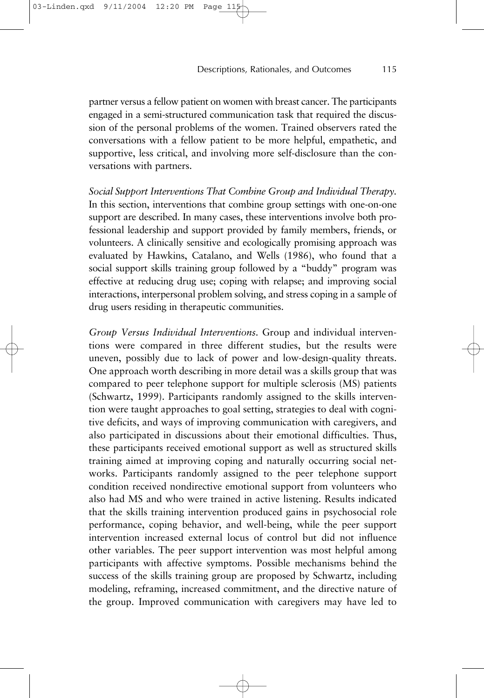partner versus a fellow patient on women with breast cancer. The participants engaged in a semi-structured communication task that required the discussion of the personal problems of the women. Trained observers rated the conversations with a fellow patient to be more helpful, empathetic, and supportive, less critical, and involving more self-disclosure than the conversations with partners.

*Social Support Interventions That Combine Group and Individual Therapy.* In this section, interventions that combine group settings with one-on-one support are described. In many cases, these interventions involve both professional leadership and support provided by family members, friends, or volunteers. A clinically sensitive and ecologically promising approach was evaluated by Hawkins, Catalano, and Wells (1986), who found that a social support skills training group followed by a "buddy" program was effective at reducing drug use; coping with relapse; and improving social interactions, interpersonal problem solving, and stress coping in a sample of drug users residing in therapeutic communities.

*Group Versus Individual Interventions.* Group and individual interventions were compared in three different studies, but the results were uneven, possibly due to lack of power and low-design-quality threats. One approach worth describing in more detail was a skills group that was compared to peer telephone support for multiple sclerosis (MS) patients (Schwartz, 1999). Participants randomly assigned to the skills intervention were taught approaches to goal setting, strategies to deal with cognitive deficits, and ways of improving communication with caregivers, and also participated in discussions about their emotional difficulties. Thus, these participants received emotional support as well as structured skills training aimed at improving coping and naturally occurring social networks. Participants randomly assigned to the peer telephone support condition received nondirective emotional support from volunteers who also had MS and who were trained in active listening. Results indicated that the skills training intervention produced gains in psychosocial role performance, coping behavior, and well-being, while the peer support intervention increased external locus of control but did not influence other variables. The peer support intervention was most helpful among participants with affective symptoms. Possible mechanisms behind the success of the skills training group are proposed by Schwartz, including modeling, reframing, increased commitment, and the directive nature of the group. Improved communication with caregivers may have led to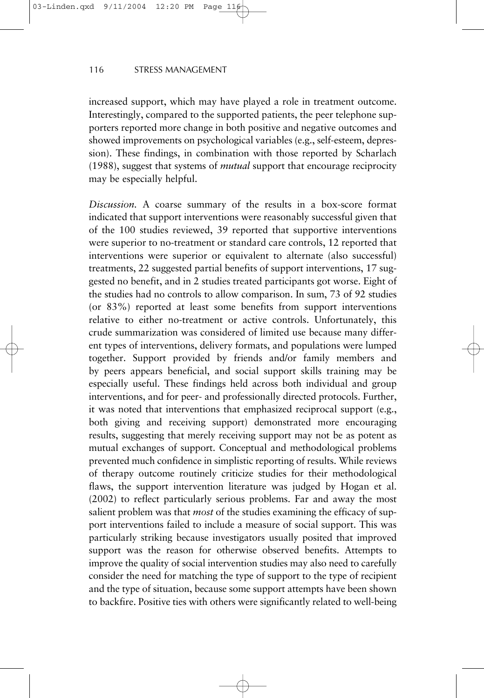increased support, which may have played a role in treatment outcome. Interestingly, compared to the supported patients, the peer telephone supporters reported more change in both positive and negative outcomes and showed improvements on psychological variables (e.g., self-esteem, depression). These findings, in combination with those reported by Scharlach (1988), suggest that systems of *mutual* support that encourage reciprocity may be especially helpful.

*Discussion.* A coarse summary of the results in a box-score format indicated that support interventions were reasonably successful given that of the 100 studies reviewed, 39 reported that supportive interventions were superior to no-treatment or standard care controls, 12 reported that interventions were superior or equivalent to alternate (also successful) treatments, 22 suggested partial benefits of support interventions, 17 suggested no benefit, and in 2 studies treated participants got worse. Eight of the studies had no controls to allow comparison. In sum, 73 of 92 studies (or 83%) reported at least some benefits from support interventions relative to either no-treatment or active controls. Unfortunately, this crude summarization was considered of limited use because many different types of interventions, delivery formats, and populations were lumped together. Support provided by friends and/or family members and by peers appears beneficial, and social support skills training may be especially useful. These findings held across both individual and group interventions, and for peer- and professionally directed protocols. Further, it was noted that interventions that emphasized reciprocal support (e.g., both giving and receiving support) demonstrated more encouraging results, suggesting that merely receiving support may not be as potent as mutual exchanges of support. Conceptual and methodological problems prevented much confidence in simplistic reporting of results. While reviews of therapy outcome routinely criticize studies for their methodological flaws, the support intervention literature was judged by Hogan et al. (2002) to reflect particularly serious problems. Far and away the most salient problem was that *most* of the studies examining the efficacy of support interventions failed to include a measure of social support. This was particularly striking because investigators usually posited that improved support was the reason for otherwise observed benefits. Attempts to improve the quality of social intervention studies may also need to carefully consider the need for matching the type of support to the type of recipient and the type of situation, because some support attempts have been shown to backfire. Positive ties with others were significantly related to well-being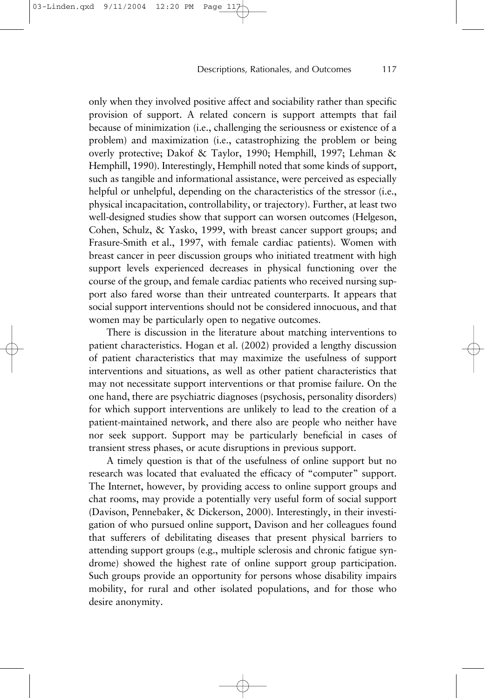only when they involved positive affect and sociability rather than specific provision of support. A related concern is support attempts that fail because of minimization (i.e., challenging the seriousness or existence of a problem) and maximization (i.e., catastrophizing the problem or being overly protective; Dakof & Taylor, 1990; Hemphill, 1997; Lehman & Hemphill, 1990). Interestingly, Hemphill noted that some kinds of support, such as tangible and informational assistance, were perceived as especially helpful or unhelpful, depending on the characteristics of the stressor (i.e., physical incapacitation, controllability, or trajectory). Further, at least two well-designed studies show that support can worsen outcomes (Helgeson, Cohen, Schulz, & Yasko, 1999, with breast cancer support groups; and Frasure-Smith et al., 1997, with female cardiac patients). Women with breast cancer in peer discussion groups who initiated treatment with high support levels experienced decreases in physical functioning over the course of the group, and female cardiac patients who received nursing support also fared worse than their untreated counterparts. It appears that social support interventions should not be considered innocuous, and that women may be particularly open to negative outcomes.

03-Linden.qxd 9/11/2004 12:20 PM Page 117

There is discussion in the literature about matching interventions to patient characteristics. Hogan et al. (2002) provided a lengthy discussion of patient characteristics that may maximize the usefulness of support interventions and situations, as well as other patient characteristics that may not necessitate support interventions or that promise failure. On the one hand, there are psychiatric diagnoses (psychosis, personality disorders) for which support interventions are unlikely to lead to the creation of a patient-maintained network, and there also are people who neither have nor seek support. Support may be particularly beneficial in cases of transient stress phases, or acute disruptions in previous support.

A timely question is that of the usefulness of online support but no research was located that evaluated the efficacy of "computer" support. The Internet, however, by providing access to online support groups and chat rooms, may provide a potentially very useful form of social support (Davison, Pennebaker, & Dickerson, 2000). Interestingly, in their investigation of who pursued online support, Davison and her colleagues found that sufferers of debilitating diseases that present physical barriers to attending support groups (e.g., multiple sclerosis and chronic fatigue syndrome) showed the highest rate of online support group participation. Such groups provide an opportunity for persons whose disability impairs mobility, for rural and other isolated populations, and for those who desire anonymity.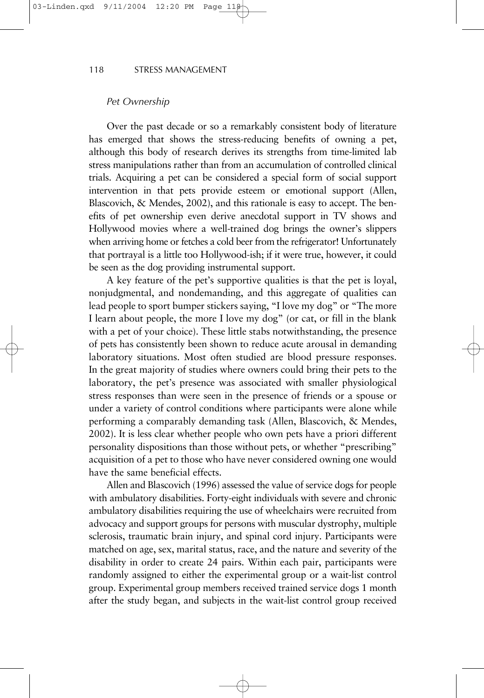# *Pet Ownership*

Over the past decade or so a remarkably consistent body of literature has emerged that shows the stress-reducing benefits of owning a pet, although this body of research derives its strengths from time-limited lab stress manipulations rather than from an accumulation of controlled clinical trials. Acquiring a pet can be considered a special form of social support intervention in that pets provide esteem or emotional support (Allen, Blascovich, & Mendes, 2002), and this rationale is easy to accept. The benefits of pet ownership even derive anecdotal support in TV shows and Hollywood movies where a well-trained dog brings the owner's slippers when arriving home or fetches a cold beer from the refrigerator! Unfortunately that portrayal is a little too Hollywood-ish; if it were true, however, it could be seen as the dog providing instrumental support.

A key feature of the pet's supportive qualities is that the pet is loyal, nonjudgmental, and nondemanding, and this aggregate of qualities can lead people to sport bumper stickers saying, "I love my dog" or "The more I learn about people, the more I love my dog" (or cat, or fill in the blank with a pet of your choice). These little stabs notwithstanding, the presence of pets has consistently been shown to reduce acute arousal in demanding laboratory situations. Most often studied are blood pressure responses. In the great majority of studies where owners could bring their pets to the laboratory, the pet's presence was associated with smaller physiological stress responses than were seen in the presence of friends or a spouse or under a variety of control conditions where participants were alone while performing a comparably demanding task (Allen, Blascovich, & Mendes, 2002). It is less clear whether people who own pets have a priori different personality dispositions than those without pets, or whether "prescribing" acquisition of a pet to those who have never considered owning one would have the same beneficial effects.

Allen and Blascovich (1996) assessed the value of service dogs for people with ambulatory disabilities. Forty-eight individuals with severe and chronic ambulatory disabilities requiring the use of wheelchairs were recruited from advocacy and support groups for persons with muscular dystrophy, multiple sclerosis, traumatic brain injury, and spinal cord injury. Participants were matched on age, sex, marital status, race, and the nature and severity of the disability in order to create 24 pairs. Within each pair, participants were randomly assigned to either the experimental group or a wait-list control group. Experimental group members received trained service dogs 1 month after the study began, and subjects in the wait-list control group received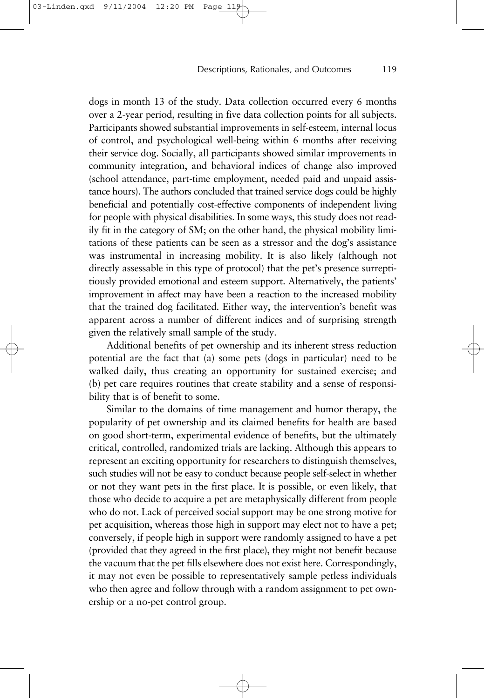dogs in month 13 of the study. Data collection occurred every 6 months over a 2-year period, resulting in five data collection points for all subjects. Participants showed substantial improvements in self-esteem, internal locus of control, and psychological well-being within 6 months after receiving their service dog. Socially, all participants showed similar improvements in community integration, and behavioral indices of change also improved (school attendance, part-time employment, needed paid and unpaid assistance hours). The authors concluded that trained service dogs could be highly beneficial and potentially cost-effective components of independent living for people with physical disabilities. In some ways, this study does not readily fit in the category of SM; on the other hand, the physical mobility limitations of these patients can be seen as a stressor and the dog's assistance was instrumental in increasing mobility. It is also likely (although not directly assessable in this type of protocol) that the pet's presence surreptitiously provided emotional and esteem support. Alternatively, the patients' improvement in affect may have been a reaction to the increased mobility that the trained dog facilitated. Either way, the intervention's benefit was apparent across a number of different indices and of surprising strength given the relatively small sample of the study.

Additional benefits of pet ownership and its inherent stress reduction potential are the fact that (a) some pets (dogs in particular) need to be walked daily, thus creating an opportunity for sustained exercise; and (b) pet care requires routines that create stability and a sense of responsibility that is of benefit to some.

Similar to the domains of time management and humor therapy, the popularity of pet ownership and its claimed benefits for health are based on good short-term, experimental evidence of benefits, but the ultimately critical, controlled, randomized trials are lacking. Although this appears to represent an exciting opportunity for researchers to distinguish themselves, such studies will not be easy to conduct because people self-select in whether or not they want pets in the first place. It is possible, or even likely, that those who decide to acquire a pet are metaphysically different from people who do not. Lack of perceived social support may be one strong motive for pet acquisition, whereas those high in support may elect not to have a pet; conversely, if people high in support were randomly assigned to have a pet (provided that they agreed in the first place), they might not benefit because the vacuum that the pet fills elsewhere does not exist here. Correspondingly, it may not even be possible to representatively sample petless individuals who then agree and follow through with a random assignment to pet ownership or a no-pet control group.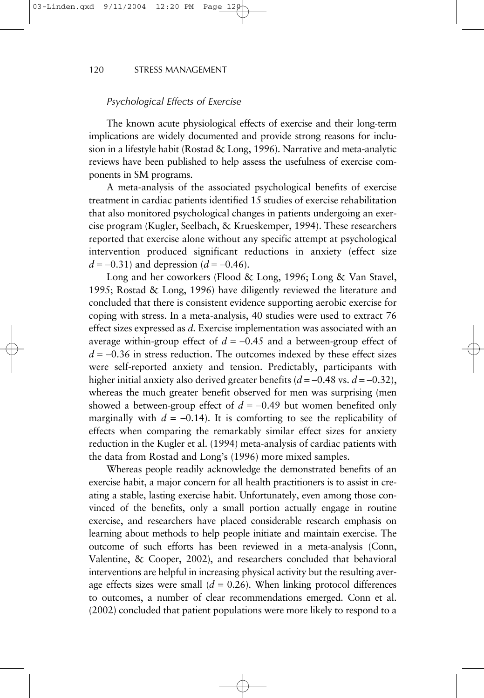#### *Psychological Effects of Exercise*

The known acute physiological effects of exercise and their long-term implications are widely documented and provide strong reasons for inclusion in a lifestyle habit (Rostad & Long, 1996). Narrative and meta-analytic reviews have been published to help assess the usefulness of exercise components in SM programs.

A meta-analysis of the associated psychological benefits of exercise treatment in cardiac patients identified 15 studies of exercise rehabilitation that also monitored psychological changes in patients undergoing an exercise program (Kugler, Seelbach, & Krueskemper, 1994). These researchers reported that exercise alone without any specific attempt at psychological intervention produced significant reductions in anxiety (effect size *d* = −0.31) and depression (*d* = −0.46).

Long and her coworkers (Flood & Long, 1996; Long & Van Stavel, 1995; Rostad & Long, 1996) have diligently reviewed the literature and concluded that there is consistent evidence supporting aerobic exercise for coping with stress. In a meta-analysis, 40 studies were used to extract 76 effect sizes expressed as *d.* Exercise implementation was associated with an average within-group effect of  $d = -0.45$  and a between-group effect of  $d = -0.36$  in stress reduction. The outcomes indexed by these effect sizes were self-reported anxiety and tension. Predictably, participants with higher initial anxiety also derived greater benefits (*d* = −0.48 vs. *d* = −0.32), whereas the much greater benefit observed for men was surprising (men showed a between-group effect of  $d = -0.49$  but women benefited only marginally with  $d = -0.14$ ). It is comforting to see the replicability of effects when comparing the remarkably similar effect sizes for anxiety reduction in the Kugler et al. (1994) meta-analysis of cardiac patients with the data from Rostad and Long's (1996) more mixed samples.

Whereas people readily acknowledge the demonstrated benefits of an exercise habit, a major concern for all health practitioners is to assist in creating a stable, lasting exercise habit. Unfortunately, even among those convinced of the benefits, only a small portion actually engage in routine exercise, and researchers have placed considerable research emphasis on learning about methods to help people initiate and maintain exercise. The outcome of such efforts has been reviewed in a meta-analysis (Conn, Valentine, & Cooper, 2002), and researchers concluded that behavioral interventions are helpful in increasing physical activity but the resulting average effects sizes were small  $(d = 0.26)$ . When linking protocol differences to outcomes, a number of clear recommendations emerged. Conn et al. (2002) concluded that patient populations were more likely to respond to a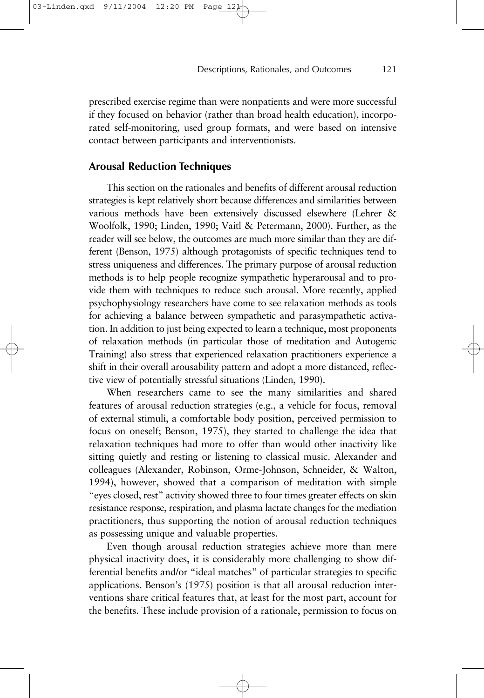prescribed exercise regime than were nonpatients and were more successful if they focused on behavior (rather than broad health education), incorporated self-monitoring, used group formats, and were based on intensive contact between participants and interventionists.

# **Arousal Reduction Techniques**

This section on the rationales and benefits of different arousal reduction strategies is kept relatively short because differences and similarities between various methods have been extensively discussed elsewhere (Lehrer & Woolfolk, 1990; Linden, 1990; Vaitl & Petermann, 2000). Further, as the reader will see below, the outcomes are much more similar than they are different (Benson, 1975) although protagonists of specific techniques tend to stress uniqueness and differences. The primary purpose of arousal reduction methods is to help people recognize sympathetic hyperarousal and to provide them with techniques to reduce such arousal. More recently, applied psychophysiology researchers have come to see relaxation methods as tools for achieving a balance between sympathetic and parasympathetic activation. In addition to just being expected to learn a technique, most proponents of relaxation methods (in particular those of meditation and Autogenic Training) also stress that experienced relaxation practitioners experience a shift in their overall arousability pattern and adopt a more distanced, reflective view of potentially stressful situations (Linden, 1990).

When researchers came to see the many similarities and shared features of arousal reduction strategies (e.g., a vehicle for focus, removal of external stimuli, a comfortable body position, perceived permission to focus on oneself; Benson, 1975), they started to challenge the idea that relaxation techniques had more to offer than would other inactivity like sitting quietly and resting or listening to classical music. Alexander and colleagues (Alexander, Robinson, Orme-Johnson, Schneider, & Walton, 1994), however, showed that a comparison of meditation with simple "eyes closed, rest" activity showed three to four times greater effects on skin resistance response, respiration, and plasma lactate changes for the mediation practitioners, thus supporting the notion of arousal reduction techniques as possessing unique and valuable properties.

Even though arousal reduction strategies achieve more than mere physical inactivity does, it is considerably more challenging to show differential benefits and/or "ideal matches" of particular strategies to specific applications. Benson's (1975) position is that all arousal reduction interventions share critical features that, at least for the most part, account for the benefits. These include provision of a rationale, permission to focus on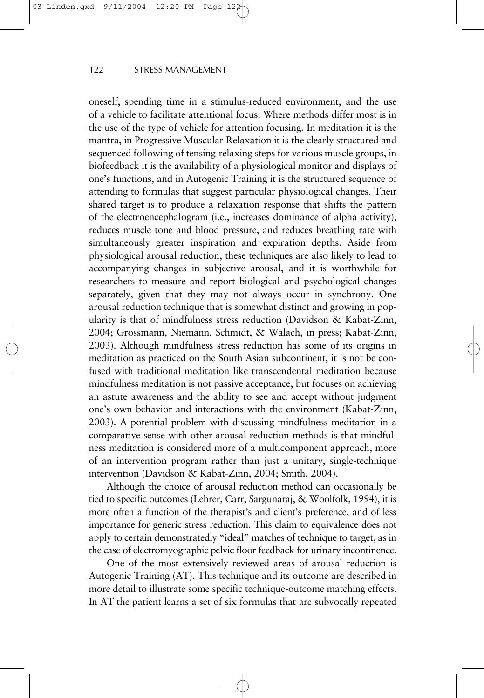oneself, spending time in a stimulus-reduced environment, and the use of a vehicle to facilitate attentional focus. Where methods differ most is in the use of the type of vehicle for attention focusing. In meditation it is the mantra, in Progressive Muscular Relaxation it is the clearly structured and sequenced following of tensing-relaxing steps for various muscle groups, in biofeedback it is the availability of a physiological monitor and displays of one's functions, and in Autogenic Training it is the structured sequence of attending to formulas that suggest particular physiological changes. Their shared target is to produce a relaxation response that shifts the pattern of the electroencephalogram (i.e., increases dominance of alpha activity), reduces muscle tone and blood pressure, and reduces breathing rate with simultaneously greater inspiration and expiration depths. Aside from physiological arousal reduction, these techniques are also likely to lead to accompanying changes in subjective arousal, and it is worthwhile for researchers to measure and report biological and psychological changes separately, given that they may not always occur in synchrony. One arousal reduction technique that is somewhat distinct and growing in popularity is that of mindfulness stress reduction (Davidson & Kabat-Zinn, 2004; Grossmann, Niemann, Schmidt, & Walach, in press; Kabat-Zinn, 2003). Although mindfulness stress reduction has some of its origins in meditation as practiced on the South Asian subcontinent, it is not be confused with traditional meditation like transcendental meditation because mindfulness meditation is not passive acceptance, but focuses on achieving an astute awareness and the ability to see and accept without judgment one's own behavior and interactions with the environment (Kabat-Zinn, 2003). A potential problem with discussing mindfulness meditation in a comparative sense with other arousal reduction methods is that mindfulness meditation is considered more of a multicomponent approach, more of an intervention program rather than just a unitary, single-technique intervention (Davidson & Kabat-Zinn, 2004; Smith, 2004).

Although the choice of arousal reduction method can occasionally be tied to specific outcomes (Lehrer, Carr, Sargunaraj, & Woolfolk, 1994), it is more often a function of the therapist's and client's preference, and of less importance for generic stress reduction. This claim to equivalence does not apply to certain demonstratedly "ideal" matches of technique to target, as in the case of electromyographic pelvic floor feedback for urinary incontinence.

One of the most extensively reviewed areas of arousal reduction is Autogenic Training (AT). This technique and its outcome are described in more detail to illustrate some specific technique-outcome matching effects. In AT the patient learns a set of six formulas that are subvocally repeated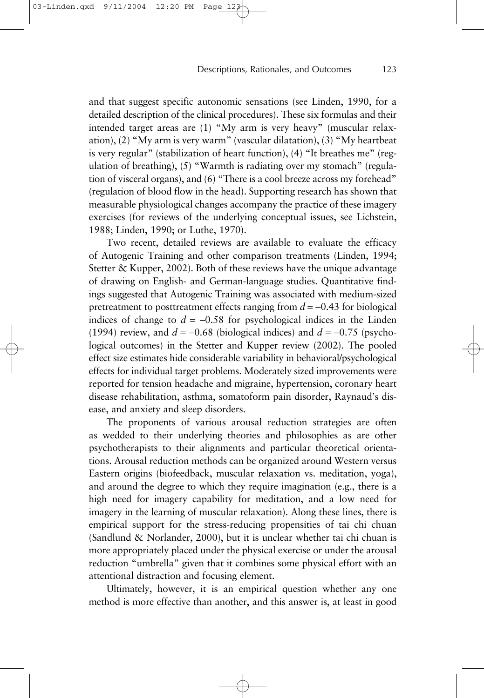and that suggest specific autonomic sensations (see Linden, 1990, for a detailed description of the clinical procedures). These six formulas and their intended target areas are (1) "My arm is very heavy" (muscular relaxation), (2) "My arm is very warm" (vascular dilatation), (3) "My heartbeat is very regular" (stabilization of heart function), (4) "It breathes me" (regulation of breathing), (5) "Warmth is radiating over my stomach" (regulation of visceral organs), and (6) "There is a cool breeze across my forehead" (regulation of blood flow in the head). Supporting research has shown that measurable physiological changes accompany the practice of these imagery exercises (for reviews of the underlying conceptual issues, see Lichstein, 1988; Linden, 1990; or Luthe, 1970).

03-Linden.qxd 9/11/2004 12:20

Two recent, detailed reviews are available to evaluate the efficacy of Autogenic Training and other comparison treatments (Linden, 1994; Stetter & Kupper, 2002). Both of these reviews have the unique advantage of drawing on English- and German-language studies. Quantitative findings suggested that Autogenic Training was associated with medium-sized pretreatment to posttreatment effects ranging from *d* = −0.43 for biological indices of change to  $d = -0.58$  for psychological indices in the Linden (1994) review, and *d* = −0.68 (biological indices) and *d* = −0.75 (psychological outcomes) in the Stetter and Kupper review (2002). The pooled effect size estimates hide considerable variability in behavioral/psychological effects for individual target problems. Moderately sized improvements were reported for tension headache and migraine, hypertension, coronary heart disease rehabilitation, asthma, somatoform pain disorder, Raynaud's disease, and anxiety and sleep disorders.

The proponents of various arousal reduction strategies are often as wedded to their underlying theories and philosophies as are other psychotherapists to their alignments and particular theoretical orientations. Arousal reduction methods can be organized around Western versus Eastern origins (biofeedback, muscular relaxation vs. meditation, yoga), and around the degree to which they require imagination (e.g., there is a high need for imagery capability for meditation, and a low need for imagery in the learning of muscular relaxation). Along these lines, there is empirical support for the stress-reducing propensities of tai chi chuan (Sandlund & Norlander, 2000), but it is unclear whether tai chi chuan is more appropriately placed under the physical exercise or under the arousal reduction "umbrella" given that it combines some physical effort with an attentional distraction and focusing element.

Ultimately, however, it is an empirical question whether any one method is more effective than another, and this answer is, at least in good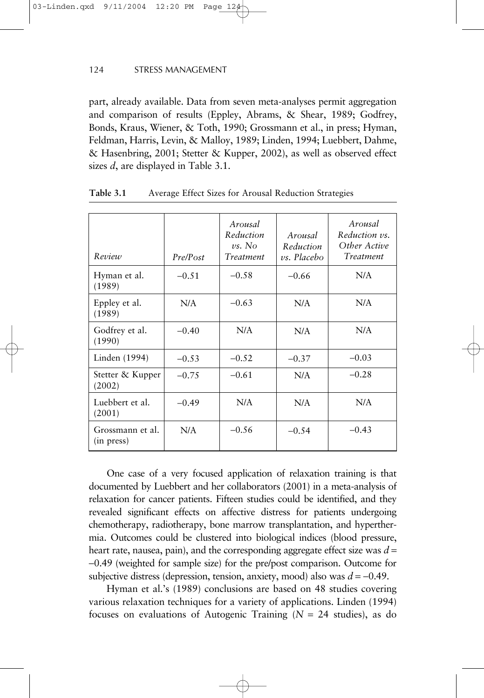part, already available. Data from seven meta-analyses permit aggregation and comparison of results (Eppley, Abrams, & Shear, 1989; Godfrey, Bonds, Kraus, Wiener, & Toth, 1990; Grossmann et al., in press; Hyman, Feldman, Harris, Levin, & Malloy, 1989; Linden, 1994; Luebbert, Dahme, & Hasenbring, 2001; Stetter & Kupper, 2002), as well as observed effect sizes *d*, are displayed in Table 3.1.

| Review                         | Pre/Post | Arousal<br>Reduction<br>$\nu s. No$<br><b>Treatment</b> | Arousal<br>Reduction<br>$\nu s.$ Placebo | Arousal<br>Reduction vs.<br>Other Active<br>Treatment |
|--------------------------------|----------|---------------------------------------------------------|------------------------------------------|-------------------------------------------------------|
| Hyman et al.<br>(1989)         | $-0.51$  | $-0.58$                                                 | $-0.66$                                  | N/A                                                   |
| Eppley et al.<br>(1989)        | N/A      | $-0.63$                                                 | N/A                                      | N/A                                                   |
| Godfrey et al.<br>(1990)       | $-0.40$  | N/A                                                     | N/A                                      | N/A                                                   |
| Linden (1994)                  | $-0.53$  | $-0.52$                                                 | $-0.37$                                  | $-0.03$                                               |
| Stetter & Kupper<br>(2002)     | $-0.75$  | $-0.61$                                                 | N/A                                      | $-0.28$                                               |
| Luebbert et al.<br>(2001)      | $-0.49$  | N/A                                                     | N/A                                      | N/A                                                   |
| Grossmann et al.<br>(in press) | N/A      | $-0.56$                                                 | $-0.54$                                  | $-0.43$                                               |

**Table 3.1** Average Effect Sizes for Arousal Reduction Strategies

One case of a very focused application of relaxation training is that documented by Luebbert and her collaborators (2001) in a meta-analysis of relaxation for cancer patients. Fifteen studies could be identified, and they revealed significant effects on affective distress for patients undergoing chemotherapy, radiotherapy, bone marrow transplantation, and hyperthermia. Outcomes could be clustered into biological indices (blood pressure, heart rate, nausea, pain), and the corresponding aggregate effect size was  $d =$ −0.49 (weighted for sample size) for the pre/post comparison. Outcome for subjective distress (depression, tension, anxiety, mood) also was *d* = −0.49.

Hyman et al.'s (1989) conclusions are based on 48 studies covering various relaxation techniques for a variety of applications. Linden (1994) focuses on evaluations of Autogenic Training (*N* = 24 studies), as do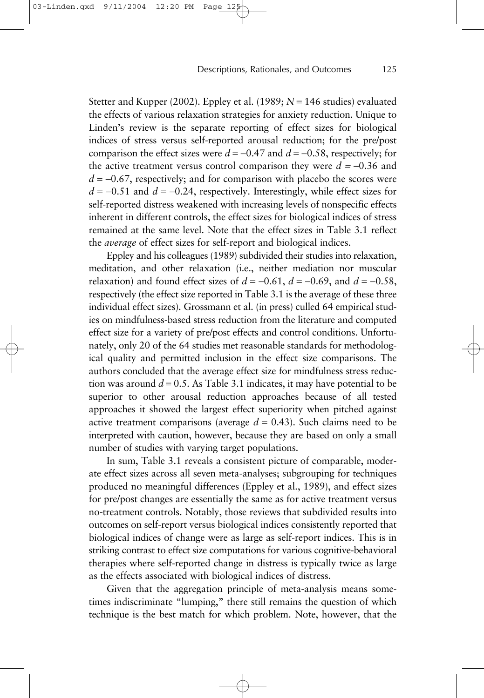Stetter and Kupper (2002). Eppley et al. (1989; *N* = 146 studies) evaluated the effects of various relaxation strategies for anxiety reduction. Unique to Linden's review is the separate reporting of effect sizes for biological indices of stress versus self-reported arousal reduction; for the pre/post comparison the effect sizes were  $d = -0.47$  and  $d = -0.58$ , respectively; for the active treatment versus control comparison they were  $d = -0.36$  and *d* = −0.67, respectively; and for comparison with placebo the scores were *d* = −0.51 and *d* = −0.24, respectively. Interestingly, while effect sizes for self-reported distress weakened with increasing levels of nonspecific effects inherent in different controls, the effect sizes for biological indices of stress remained at the same level. Note that the effect sizes in Table 3.1 reflect the *average* of effect sizes for self-report and biological indices.

Eppley and his colleagues (1989) subdivided their studies into relaxation, meditation, and other relaxation (i.e., neither mediation nor muscular relaxation) and found effect sizes of  $d = -0.61$ ,  $d = -0.69$ , and  $d = -0.58$ , respectively (the effect size reported in Table 3.1 is the average of these three individual effect sizes). Grossmann et al. (in press) culled 64 empirical studies on mindfulness-based stress reduction from the literature and computed effect size for a variety of pre/post effects and control conditions. Unfortunately, only 20 of the 64 studies met reasonable standards for methodological quality and permitted inclusion in the effect size comparisons. The authors concluded that the average effect size for mindfulness stress reduction was around  $d = 0.5$ . As Table 3.1 indicates, it may have potential to be superior to other arousal reduction approaches because of all tested approaches it showed the largest effect superiority when pitched against active treatment comparisons (average  $d = 0.43$ ). Such claims need to be interpreted with caution, however, because they are based on only a small number of studies with varying target populations.

In sum, Table 3.1 reveals a consistent picture of comparable, moderate effect sizes across all seven meta-analyses; subgrouping for techniques produced no meaningful differences (Eppley et al., 1989), and effect sizes for pre/post changes are essentially the same as for active treatment versus no-treatment controls. Notably, those reviews that subdivided results into outcomes on self-report versus biological indices consistently reported that biological indices of change were as large as self-report indices. This is in striking contrast to effect size computations for various cognitive-behavioral therapies where self-reported change in distress is typically twice as large as the effects associated with biological indices of distress.

Given that the aggregation principle of meta-analysis means sometimes indiscriminate "lumping," there still remains the question of which technique is the best match for which problem. Note, however, that the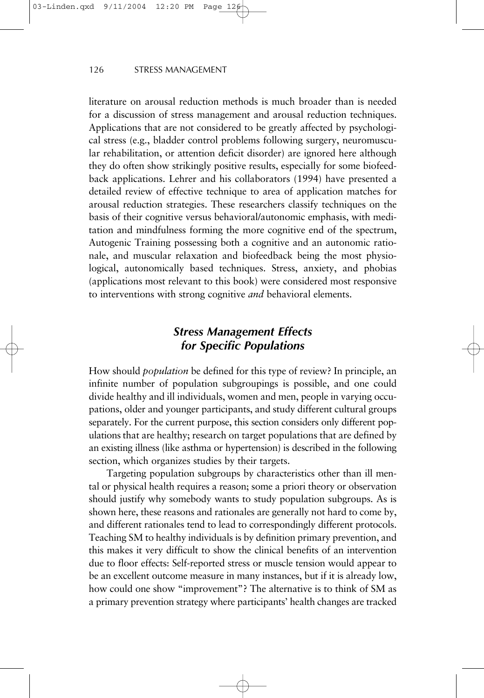literature on arousal reduction methods is much broader than is needed for a discussion of stress management and arousal reduction techniques. Applications that are not considered to be greatly affected by psychological stress (e.g., bladder control problems following surgery, neuromuscular rehabilitation, or attention deficit disorder) are ignored here although they do often show strikingly positive results, especially for some biofeedback applications. Lehrer and his collaborators (1994) have presented a detailed review of effective technique to area of application matches for arousal reduction strategies. These researchers classify techniques on the basis of their cognitive versus behavioral/autonomic emphasis, with meditation and mindfulness forming the more cognitive end of the spectrum, Autogenic Training possessing both a cognitive and an autonomic rationale, and muscular relaxation and biofeedback being the most physiological, autonomically based techniques. Stress, anxiety, and phobias (applications most relevant to this book) were considered most responsive to interventions with strong cognitive *and* behavioral elements.

# *Stress Management Effects for Specific Populations*

How should *population* be defined for this type of review? In principle, an infinite number of population subgroupings is possible, and one could divide healthy and ill individuals, women and men, people in varying occupations, older and younger participants, and study different cultural groups separately. For the current purpose, this section considers only different populations that are healthy; research on target populations that are defined by an existing illness (like asthma or hypertension) is described in the following section, which organizes studies by their targets.

Targeting population subgroups by characteristics other than ill mental or physical health requires a reason; some a priori theory or observation should justify why somebody wants to study population subgroups. As is shown here, these reasons and rationales are generally not hard to come by, and different rationales tend to lead to correspondingly different protocols. Teaching SM to healthy individuals is by definition primary prevention, and this makes it very difficult to show the clinical benefits of an intervention due to floor effects: Self-reported stress or muscle tension would appear to be an excellent outcome measure in many instances, but if it is already low, how could one show "improvement"? The alternative is to think of SM as a primary prevention strategy where participants' health changes are tracked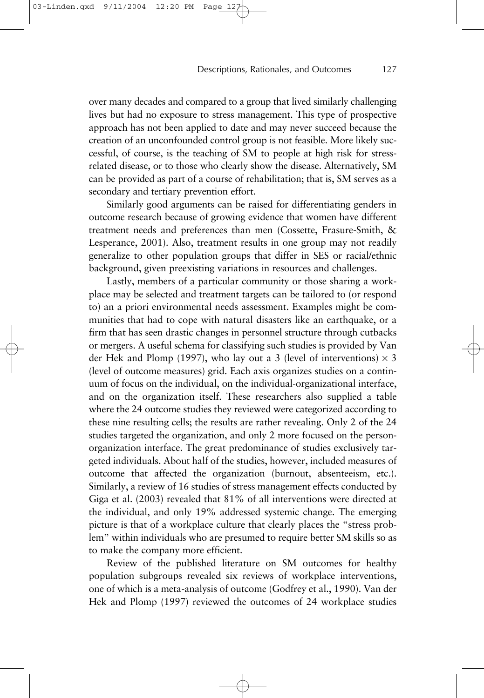/11/2004 12:20

lives but had no exposure to stress management. This type of prospective approach has not been applied to date and may never succeed because the creation of an unconfounded control group is not feasible. More likely successful, of course, is the teaching of SM to people at high risk for stressrelated disease, or to those who clearly show the disease. Alternatively, SM can be provided as part of a course of rehabilitation; that is, SM serves as a secondary and tertiary prevention effort.

Similarly good arguments can be raised for differentiating genders in outcome research because of growing evidence that women have different treatment needs and preferences than men (Cossette, Frasure-Smith, & Lesperance, 2001). Also, treatment results in one group may not readily generalize to other population groups that differ in SES or racial/ethnic background, given preexisting variations in resources and challenges.

Lastly, members of a particular community or those sharing a workplace may be selected and treatment targets can be tailored to (or respond to) an a priori environmental needs assessment. Examples might be communities that had to cope with natural disasters like an earthquake, or a firm that has seen drastic changes in personnel structure through cutbacks or mergers. A useful schema for classifying such studies is provided by Van der Hek and Plomp (1997), who lay out a 3 (level of interventions)  $\times$  3 (level of outcome measures) grid. Each axis organizes studies on a continuum of focus on the individual, on the individual-organizational interface, and on the organization itself. These researchers also supplied a table where the 24 outcome studies they reviewed were categorized according to these nine resulting cells; the results are rather revealing. Only 2 of the 24 studies targeted the organization, and only 2 more focused on the personorganization interface. The great predominance of studies exclusively targeted individuals. About half of the studies, however, included measures of outcome that affected the organization (burnout, absenteeism, etc.). Similarly, a review of 16 studies of stress management effects conducted by Giga et al. (2003) revealed that 81% of all interventions were directed at the individual, and only 19% addressed systemic change. The emerging picture is that of a workplace culture that clearly places the "stress problem" within individuals who are presumed to require better SM skills so as to make the company more efficient.

Review of the published literature on SM outcomes for healthy population subgroups revealed six reviews of workplace interventions, one of which is a meta-analysis of outcome (Godfrey et al., 1990). Van der Hek and Plomp (1997) reviewed the outcomes of 24 workplace studies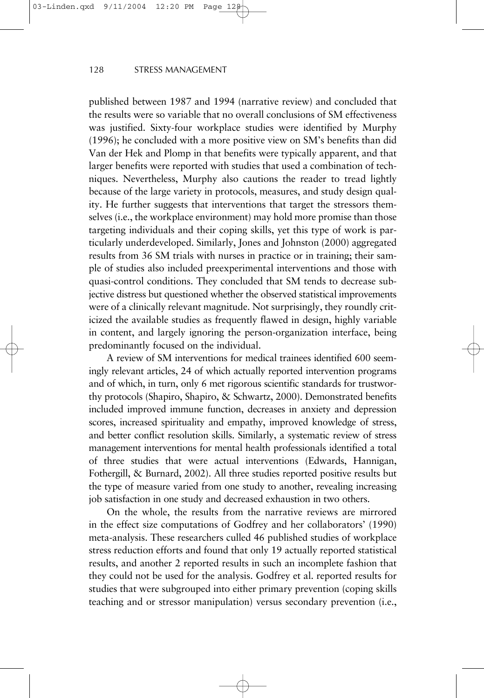published between 1987 and 1994 (narrative review) and concluded that the results were so variable that no overall conclusions of SM effectiveness was justified. Sixty-four workplace studies were identified by Murphy (1996); he concluded with a more positive view on SM's benefits than did Van der Hek and Plomp in that benefits were typically apparent, and that larger benefits were reported with studies that used a combination of techniques. Nevertheless, Murphy also cautions the reader to tread lightly because of the large variety in protocols, measures, and study design quality. He further suggests that interventions that target the stressors themselves (i.e., the workplace environment) may hold more promise than those targeting individuals and their coping skills, yet this type of work is particularly underdeveloped. Similarly, Jones and Johnston (2000) aggregated results from 36 SM trials with nurses in practice or in training; their sample of studies also included preexperimental interventions and those with quasi-control conditions. They concluded that SM tends to decrease subjective distress but questioned whether the observed statistical improvements were of a clinically relevant magnitude. Not surprisingly, they roundly criticized the available studies as frequently flawed in design, highly variable in content, and largely ignoring the person-organization interface, being predominantly focused on the individual.

A review of SM interventions for medical trainees identified 600 seemingly relevant articles, 24 of which actually reported intervention programs and of which, in turn, only 6 met rigorous scientific standards for trustworthy protocols (Shapiro, Shapiro, & Schwartz, 2000). Demonstrated benefits included improved immune function, decreases in anxiety and depression scores, increased spirituality and empathy, improved knowledge of stress, and better conflict resolution skills. Similarly, a systematic review of stress management interventions for mental health professionals identified a total of three studies that were actual interventions (Edwards, Hannigan, Fothergill, & Burnard, 2002). All three studies reported positive results but the type of measure varied from one study to another, revealing increasing job satisfaction in one study and decreased exhaustion in two others.

On the whole, the results from the narrative reviews are mirrored in the effect size computations of Godfrey and her collaborators' (1990) meta-analysis. These researchers culled 46 published studies of workplace stress reduction efforts and found that only 19 actually reported statistical results, and another 2 reported results in such an incomplete fashion that they could not be used for the analysis. Godfrey et al. reported results for studies that were subgrouped into either primary prevention (coping skills teaching and or stressor manipulation) versus secondary prevention (i.e.,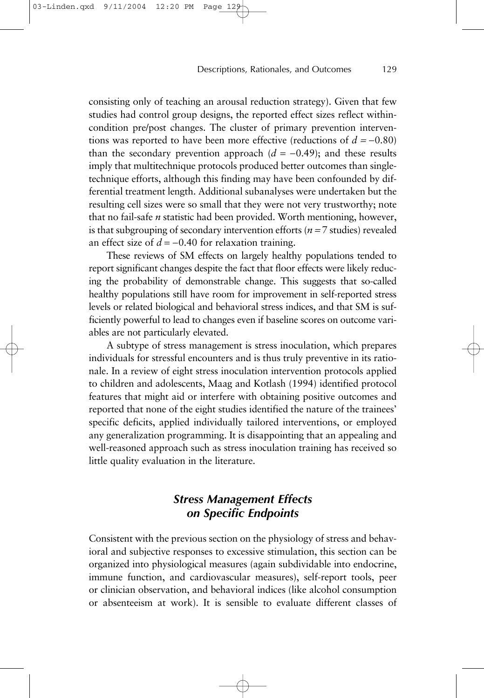consisting only of teaching an arousal reduction strategy). Given that few studies had control group designs, the reported effect sizes reflect withincondition pre/post changes. The cluster of primary prevention interventions was reported to have been more effective (reductions of *d* <sup>=</sup> −0.80) than the secondary prevention approach  $(d = -0.49)$ ; and these results imply that multitechnique protocols produced better outcomes than singletechnique efforts, although this finding may have been confounded by differential treatment length. Additional subanalyses were undertaken but the resulting cell sizes were so small that they were not very trustworthy; note that no fail-safe *n* statistic had been provided. Worth mentioning, however, is that subgrouping of secondary intervention efforts (*n* <sup>=</sup> 7 studies) revealed an effect size of  $d = -0.40$  for relaxation training.

03-Linden.qxd 9/11/2004 12:20 PM Page 129

These reviews of SM effects on largely healthy populations tended to report significant changes despite the fact that floor effects were likely reducing the probability of demonstrable change. This suggests that so-called healthy populations still have room for improvement in self-reported stress levels or related biological and behavioral stress indices, and that SM is sufficiently powerful to lead to changes even if baseline scores on outcome variables are not particularly elevated.

A subtype of stress management is stress inoculation, which prepares individuals for stressful encounters and is thus truly preventive in its rationale. In a review of eight stress inoculation intervention protocols applied to children and adolescents, Maag and Kotlash (1994) identified protocol features that might aid or interfere with obtaining positive outcomes and reported that none of the eight studies identified the nature of the trainees' specific deficits, applied individually tailored interventions, or employed any generalization programming. It is disappointing that an appealing and well-reasoned approach such as stress inoculation training has received so little quality evaluation in the literature.

# *Stress Management Effects on Specific Endpoints*

Consistent with the previous section on the physiology of stress and behavioral and subjective responses to excessive stimulation, this section can be organized into physiological measures (again subdividable into endocrine, immune function, and cardiovascular measures), self-report tools, peer or clinician observation, and behavioral indices (like alcohol consumption or absenteeism at work). It is sensible to evaluate different classes of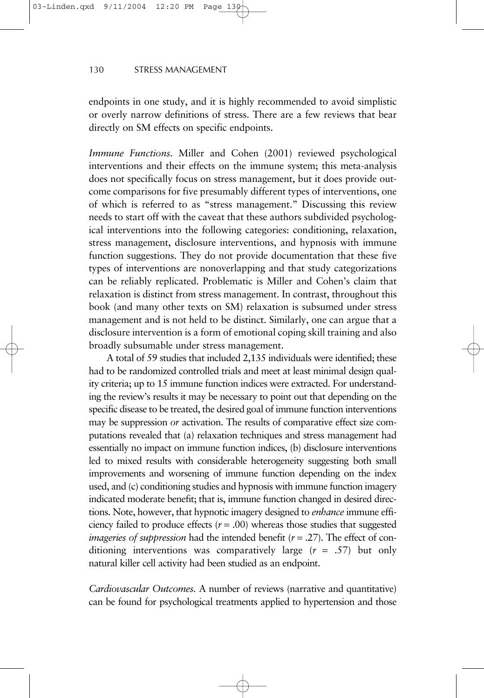endpoints in one study, and it is highly recommended to avoid simplistic or overly narrow definitions of stress. There are a few reviews that bear directly on SM effects on specific endpoints.

*Immune Functions.* Miller and Cohen (2001) reviewed psychological interventions and their effects on the immune system; this meta-analysis does not specifically focus on stress management, but it does provide outcome comparisons for five presumably different types of interventions, one of which is referred to as "stress management." Discussing this review needs to start off with the caveat that these authors subdivided psychological interventions into the following categories: conditioning, relaxation, stress management, disclosure interventions, and hypnosis with immune function suggestions. They do not provide documentation that these five types of interventions are nonoverlapping and that study categorizations can be reliably replicated. Problematic is Miller and Cohen's claim that relaxation is distinct from stress management. In contrast, throughout this book (and many other texts on SM) relaxation is subsumed under stress management and is not held to be distinct. Similarly, one can argue that a disclosure intervention is a form of emotional coping skill training and also broadly subsumable under stress management.

A total of 59 studies that included 2,135 individuals were identified; these had to be randomized controlled trials and meet at least minimal design quality criteria; up to 15 immune function indices were extracted. For understanding the review's results it may be necessary to point out that depending on the specific disease to be treated, the desired goal of immune function interventions may be suppression *or* activation. The results of comparative effect size computations revealed that (a) relaxation techniques and stress management had essentially no impact on immune function indices, (b) disclosure interventions led to mixed results with considerable heterogeneity suggesting both small improvements and worsening of immune function depending on the index used, and (c) conditioning studies and hypnosis with immune function imagery indicated moderate benefit; that is, immune function changed in desired directions. Note, however, that hypnotic imagery designed to *enhance* immune efficiency failed to produce effects  $(r = .00)$  whereas those studies that suggested *imageries of suppression* had the intended benefit ( $r = .27$ ). The effect of conditioning interventions was comparatively large (*r* = .57) but only natural killer cell activity had been studied as an endpoint.

*Cardiovascular Outcomes.* A number of reviews (narrative and quantitative) can be found for psychological treatments applied to hypertension and those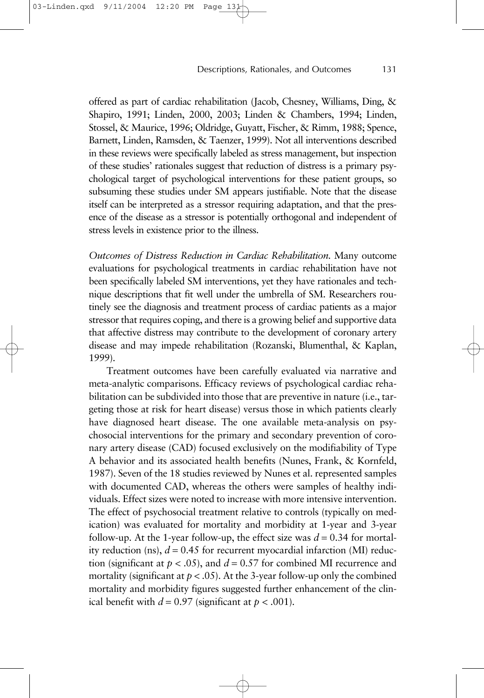offered as part of cardiac rehabilitation (Jacob, Chesney, Williams, Ding, & Shapiro, 1991; Linden, 2000, 2003; Linden & Chambers, 1994; Linden, Stossel, & Maurice, 1996; Oldridge, Guyatt, Fischer, & Rimm, 1988; Spence, Barnett, Linden, Ramsden, & Taenzer, 1999). Not all interventions described in these reviews were specifically labeled as stress management, but inspection of these studies' rationales suggest that reduction of distress is a primary psychological target of psychological interventions for these patient groups, so subsuming these studies under SM appears justifiable. Note that the disease itself can be interpreted as a stressor requiring adaptation, and that the presence of the disease as a stressor is potentially orthogonal and independent of stress levels in existence prior to the illness.

9/11/2004 12:20

*Outcomes of Distress Reduction in Cardiac Rehabilitation.* Many outcome evaluations for psychological treatments in cardiac rehabilitation have not been specifically labeled SM interventions, yet they have rationales and technique descriptions that fit well under the umbrella of SM. Researchers routinely see the diagnosis and treatment process of cardiac patients as a major stressor that requires coping, and there is a growing belief and supportive data that affective distress may contribute to the development of coronary artery disease and may impede rehabilitation (Rozanski, Blumenthal, & Kaplan, 1999).

Treatment outcomes have been carefully evaluated via narrative and meta-analytic comparisons. Efficacy reviews of psychological cardiac rehabilitation can be subdivided into those that are preventive in nature (i.e., targeting those at risk for heart disease) versus those in which patients clearly have diagnosed heart disease. The one available meta-analysis on psychosocial interventions for the primary and secondary prevention of coronary artery disease (CAD) focused exclusively on the modifiability of Type A behavior and its associated health benefits (Nunes, Frank, & Kornfeld, 1987). Seven of the 18 studies reviewed by Nunes et al. represented samples with documented CAD, whereas the others were samples of healthy individuals. Effect sizes were noted to increase with more intensive intervention. The effect of psychosocial treatment relative to controls (typically on medication) was evaluated for mortality and morbidity at 1-year and 3-year follow-up. At the 1-year follow-up, the effect size was  $d = 0.34$  for mortality reduction (ns),  $d = 0.45$  for recurrent myocardial infarction (MI) reduction (significant at  $p < .05$ ), and  $d = 0.57$  for combined MI recurrence and mortality (significant at  $p < .05$ ). At the 3-year follow-up only the combined mortality and morbidity figures suggested further enhancement of the clinical benefit with  $d = 0.97$  (significant at  $p < .001$ ).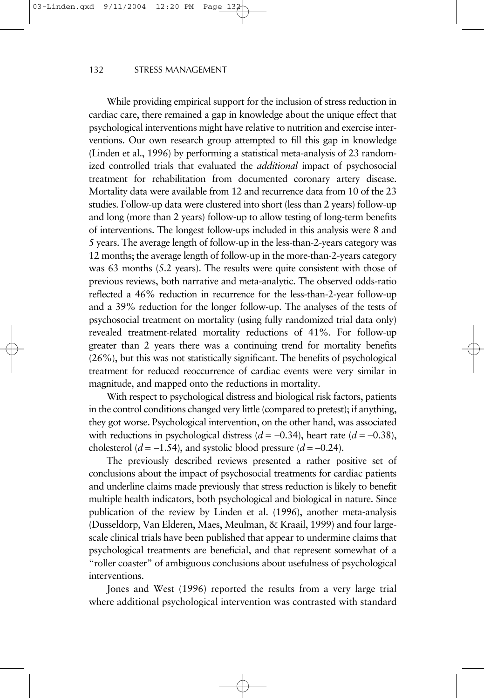While providing empirical support for the inclusion of stress reduction in cardiac care, there remained a gap in knowledge about the unique effect that psychological interventions might have relative to nutrition and exercise interventions. Our own research group attempted to fill this gap in knowledge (Linden et al., 1996) by performing a statistical meta-analysis of 23 randomized controlled trials that evaluated the *additional* impact of psychosocial treatment for rehabilitation from documented coronary artery disease. Mortality data were available from 12 and recurrence data from 10 of the 23 studies. Follow-up data were clustered into short (less than 2 years) follow-up and long (more than 2 years) follow-up to allow testing of long-term benefits of interventions. The longest follow-ups included in this analysis were 8 and 5 years. The average length of follow-up in the less-than-2-years category was 12 months; the average length of follow-up in the more-than-2-years category was 63 months (5.2 years). The results were quite consistent with those of previous reviews, both narrative and meta-analytic. The observed odds-ratio reflected a 46% reduction in recurrence for the less-than-2-year follow-up and a 39% reduction for the longer follow-up. The analyses of the tests of psychosocial treatment on mortality (using fully randomized trial data only) revealed treatment-related mortality reductions of 41%. For follow-up greater than 2 years there was a continuing trend for mortality benefits (26%), but this was not statistically significant. The benefits of psychological treatment for reduced reoccurrence of cardiac events were very similar in magnitude, and mapped onto the reductions in mortality.

With respect to psychological distress and biological risk factors, patients in the control conditions changed very little (compared to pretest); if anything, they got worse. Psychological intervention, on the other hand, was associated with reductions in psychological distress  $(d = -0.34)$ , heart rate  $(d = -0.38)$ , cholesterol ( $d = -1.54$ ), and systolic blood pressure ( $d = -0.24$ ).

The previously described reviews presented a rather positive set of conclusions about the impact of psychosocial treatments for cardiac patients and underline claims made previously that stress reduction is likely to benefit multiple health indicators, both psychological and biological in nature. Since publication of the review by Linden et al. (1996), another meta-analysis (Dusseldorp, Van Elderen, Maes, Meulman, & Kraail, 1999) and four largescale clinical trials have been published that appear to undermine claims that psychological treatments are beneficial, and that represent somewhat of a "roller coaster" of ambiguous conclusions about usefulness of psychological interventions.

Jones and West (1996) reported the results from a very large trial where additional psychological intervention was contrasted with standard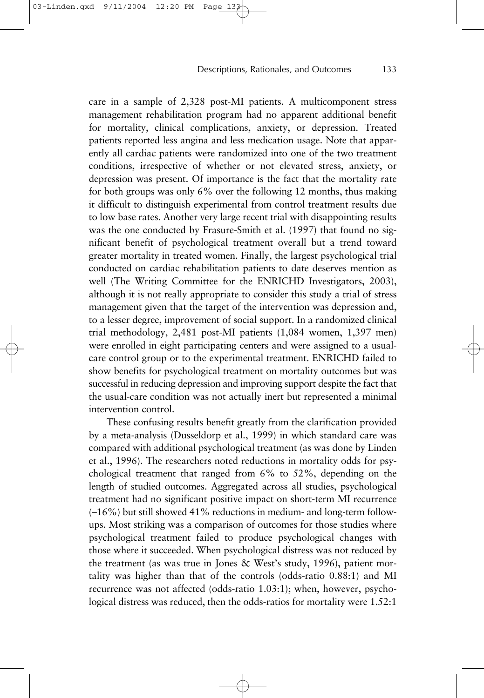care in a sample of 2,328 post-MI patients. A multicomponent stress management rehabilitation program had no apparent additional benefit for mortality, clinical complications, anxiety, or depression. Treated patients reported less angina and less medication usage. Note that apparently all cardiac patients were randomized into one of the two treatment conditions, irrespective of whether or not elevated stress, anxiety, or depression was present. Of importance is the fact that the mortality rate for both groups was only 6% over the following 12 months, thus making it difficult to distinguish experimental from control treatment results due to low base rates. Another very large recent trial with disappointing results was the one conducted by Frasure-Smith et al. (1997) that found no significant benefit of psychological treatment overall but a trend toward greater mortality in treated women. Finally, the largest psychological trial conducted on cardiac rehabilitation patients to date deserves mention as well (The Writing Committee for the ENRICHD Investigators, 2003), although it is not really appropriate to consider this study a trial of stress management given that the target of the intervention was depression and, to a lesser degree, improvement of social support. In a randomized clinical trial methodology, 2,481 post-MI patients (1,084 women, 1,397 men) were enrolled in eight participating centers and were assigned to a usualcare control group or to the experimental treatment. ENRICHD failed to show benefits for psychological treatment on mortality outcomes but was successful in reducing depression and improving support despite the fact that the usual-care condition was not actually inert but represented a minimal intervention control.

These confusing results benefit greatly from the clarification provided by a meta-analysis (Dusseldorp et al., 1999) in which standard care was compared with additional psychological treatment (as was done by Linden et al., 1996). The researchers noted reductions in mortality odds for psychological treatment that ranged from 6% to 52%, depending on the length of studied outcomes. Aggregated across all studies, psychological treatment had no significant positive impact on short-term MI recurrence (–16%) but still showed 41% reductions in medium- and long-term followups. Most striking was a comparison of outcomes for those studies where psychological treatment failed to produce psychological changes with those where it succeeded. When psychological distress was not reduced by the treatment (as was true in Jones & West's study, 1996), patient mortality was higher than that of the controls (odds-ratio 0.88:1) and MI recurrence was not affected (odds-ratio 1.03:1); when, however, psychological distress was reduced, then the odds-ratios for mortality were 1.52:1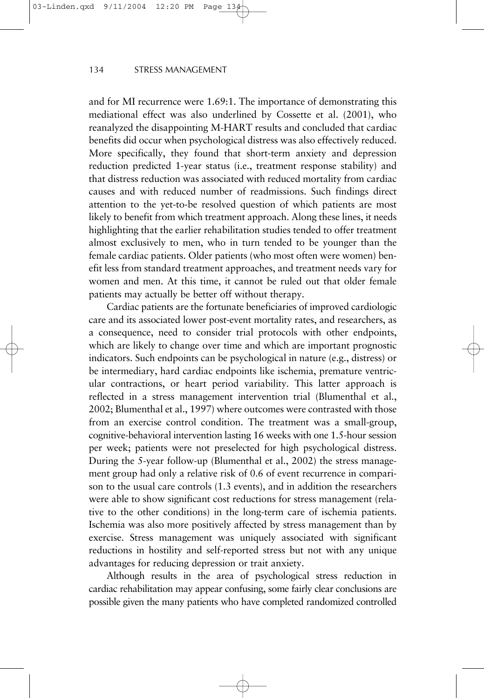and for MI recurrence were 1.69:1. The importance of demonstrating this mediational effect was also underlined by Cossette et al. (2001), who reanalyzed the disappointing M-HART results and concluded that cardiac benefits did occur when psychological distress was also effectively reduced. More specifically, they found that short-term anxiety and depression reduction predicted 1-year status (i.e., treatment response stability) and that distress reduction was associated with reduced mortality from cardiac causes and with reduced number of readmissions. Such findings direct attention to the yet-to-be resolved question of which patients are most likely to benefit from which treatment approach. Along these lines, it needs highlighting that the earlier rehabilitation studies tended to offer treatment almost exclusively to men, who in turn tended to be younger than the female cardiac patients. Older patients (who most often were women) benefit less from standard treatment approaches, and treatment needs vary for women and men. At this time, it cannot be ruled out that older female patients may actually be better off without therapy.

Cardiac patients are the fortunate beneficiaries of improved cardiologic care and its associated lower post-event mortality rates, and researchers, as a consequence, need to consider trial protocols with other endpoints, which are likely to change over time and which are important prognostic indicators. Such endpoints can be psychological in nature (e.g., distress) or be intermediary, hard cardiac endpoints like ischemia, premature ventricular contractions, or heart period variability. This latter approach is reflected in a stress management intervention trial (Blumenthal et al., 2002; Blumenthal et al., 1997) where outcomes were contrasted with those from an exercise control condition. The treatment was a small-group, cognitive-behavioral intervention lasting 16 weeks with one 1.5-hour session per week; patients were not preselected for high psychological distress. During the 5-year follow-up (Blumenthal et al., 2002) the stress management group had only a relative risk of 0.6 of event recurrence in comparison to the usual care controls (1.3 events), and in addition the researchers were able to show significant cost reductions for stress management (relative to the other conditions) in the long-term care of ischemia patients. Ischemia was also more positively affected by stress management than by exercise. Stress management was uniquely associated with significant reductions in hostility and self-reported stress but not with any unique advantages for reducing depression or trait anxiety.

Although results in the area of psychological stress reduction in cardiac rehabilitation may appear confusing, some fairly clear conclusions are possible given the many patients who have completed randomized controlled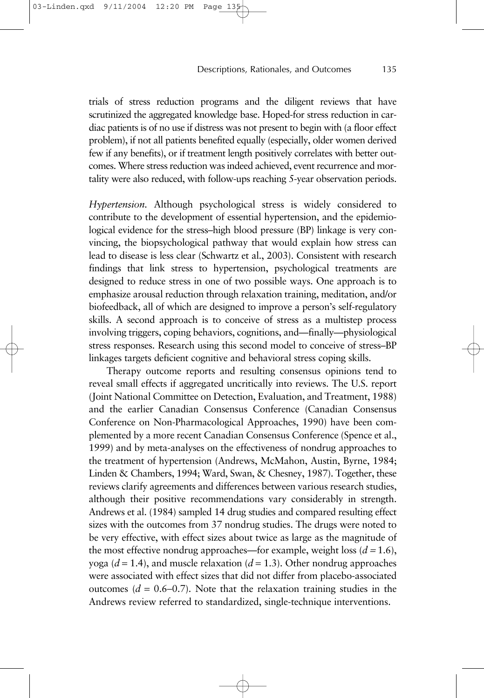trials of stress reduction programs and the diligent reviews that have scrutinized the aggregated knowledge base. Hoped-for stress reduction in cardiac patients is of no use if distress was not present to begin with (a floor effect problem), if not all patients benefited equally (especially, older women derived few if any benefits), or if treatment length positively correlates with better outcomes. Where stress reduction was indeed achieved, event recurrence and mortality were also reduced, with follow-ups reaching 5-year observation periods.

*Hypertension.* Although psychological stress is widely considered to contribute to the development of essential hypertension, and the epidemiological evidence for the stress–high blood pressure (BP) linkage is very convincing, the biopsychological pathway that would explain how stress can lead to disease is less clear (Schwartz et al., 2003). Consistent with research findings that link stress to hypertension, psychological treatments are designed to reduce stress in one of two possible ways. One approach is to emphasize arousal reduction through relaxation training, meditation, and/or biofeedback, all of which are designed to improve a person's self-regulatory skills. A second approach is to conceive of stress as a multistep process involving triggers, coping behaviors, cognitions, and—finally—physiological stress responses. Research using this second model to conceive of stress–BP linkages targets deficient cognitive and behavioral stress coping skills.

Therapy outcome reports and resulting consensus opinions tend to reveal small effects if aggregated uncritically into reviews. The U.S. report (Joint National Committee on Detection, Evaluation, and Treatment, 1988) and the earlier Canadian Consensus Conference (Canadian Consensus Conference on Non-Pharmacological Approaches, 1990) have been complemented by a more recent Canadian Consensus Conference (Spence et al., 1999) and by meta-analyses on the effectiveness of nondrug approaches to the treatment of hypertension (Andrews, McMahon, Austin, Byrne, 1984; Linden & Chambers, 1994; Ward, Swan, & Chesney, 1987). Together, these reviews clarify agreements and differences between various research studies, although their positive recommendations vary considerably in strength. Andrews et al. (1984) sampled 14 drug studies and compared resulting effect sizes with the outcomes from 37 nondrug studies. The drugs were noted to be very effective, with effect sizes about twice as large as the magnitude of the most effective nondrug approaches—for example, weight loss  $(d = 1.6)$ , yoga ( $d = 1.4$ ), and muscle relaxation ( $d = 1.3$ ). Other nondrug approaches were associated with effect sizes that did not differ from placebo-associated outcomes  $(d = 0.6-0.7)$ . Note that the relaxation training studies in the Andrews review referred to standardized, single-technique interventions.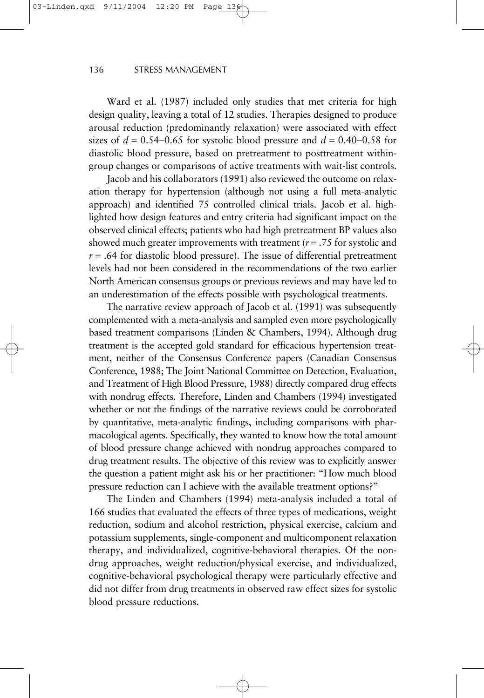Ward et al. (1987) included only studies that met criteria for high design quality, leaving a total of 12 studies. Therapies designed to produce arousal reduction (predominantly relaxation) were associated with effect sizes of *d* = 0.54−0.65 for systolic blood pressure and *d* = 0.40−0.58 for diastolic blood pressure, based on pretreatment to posttreatment withingroup changes or comparisons of active treatments with wait-list controls.

Jacob and his collaborators (1991) also reviewed the outcome on relaxation therapy for hypertension (although not using a full meta-analytic approach) and identified 75 controlled clinical trials. Jacob et al. highlighted how design features and entry criteria had significant impact on the observed clinical effects; patients who had high pretreatment BP values also showed much greater improvements with treatment (*r* = .75 for systolic and  $r = .64$  for diastolic blood pressure). The issue of differential pretreatment levels had not been considered in the recommendations of the two earlier North American consensus groups or previous reviews and may have led to an underestimation of the effects possible with psychological treatments.

The narrative review approach of Jacob et al. (1991) was subsequently complemented with a meta-analysis and sampled even more psychologically based treatment comparisons (Linden & Chambers, 1994). Although drug treatment is the accepted gold standard for efficacious hypertension treatment, neither of the Consensus Conference papers (Canadian Consensus Conference, 1988; The Joint National Committee on Detection, Evaluation, and Treatment of High Blood Pressure, 1988) directly compared drug effects with nondrug effects. Therefore, Linden and Chambers (1994) investigated whether or not the findings of the narrative reviews could be corroborated by quantitative, meta-analytic findings, including comparisons with pharmacological agents. Specifically, they wanted to know how the total amount of blood pressure change achieved with nondrug approaches compared to drug treatment results. The objective of this review was to explicitly answer the question a patient might ask his or her practitioner: "How much blood pressure reduction can I achieve with the available treatment options?"

The Linden and Chambers (1994) meta-analysis included a total of 166 studies that evaluated the effects of three types of medications, weight reduction, sodium and alcohol restriction, physical exercise, calcium and potassium supplements, single-component and multicomponent relaxation therapy, and individualized, cognitive-behavioral therapies. Of the nondrug approaches, weight reduction/physical exercise, and individualized, cognitive-behavioral psychological therapy were particularly effective and did not differ from drug treatments in observed raw effect sizes for systolic blood pressure reductions.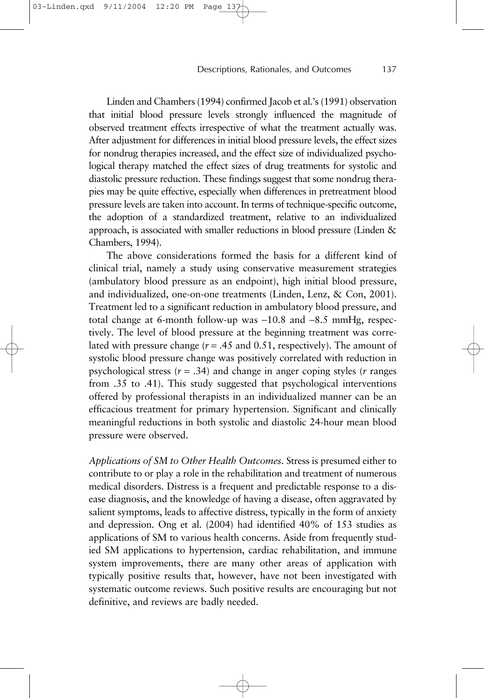Linden and Chambers (1994) confirmed Jacob et al.'s (1991) observation that initial blood pressure levels strongly influenced the magnitude of observed treatment effects irrespective of what the treatment actually was. After adjustment for differences in initial blood pressure levels, the effect sizes for nondrug therapies increased, and the effect size of individualized psychological therapy matched the effect sizes of drug treatments for systolic and diastolic pressure reduction. These findings suggest that some nondrug therapies may be quite effective, especially when differences in pretreatment blood pressure levels are taken into account. In terms of technique-specific outcome, the adoption of a standardized treatment, relative to an individualized approach, is associated with smaller reductions in blood pressure (Linden & Chambers, 1994).

The above considerations formed the basis for a different kind of clinical trial, namely a study using conservative measurement strategies (ambulatory blood pressure as an endpoint), high initial blood pressure, and individualized, one-on-one treatments (Linden, Lenz, & Con, 2001). Treatment led to a significant reduction in ambulatory blood pressure, and total change at 6-month follow-up was −10.8 and −8.5 mmHg, respectively. The level of blood pressure at the beginning treatment was correlated with pressure change  $(r = .45$  and 0.51, respectively). The amount of systolic blood pressure change was positively correlated with reduction in psychological stress (*r* = .34) and change in anger coping styles (*r* ranges from .35 to .41). This study suggested that psychological interventions offered by professional therapists in an individualized manner can be an efficacious treatment for primary hypertension. Significant and clinically meaningful reductions in both systolic and diastolic 24-hour mean blood pressure were observed.

*Applications of SM to Other Health Outcomes.* Stress is presumed either to contribute to or play a role in the rehabilitation and treatment of numerous medical disorders. Distress is a frequent and predictable response to a disease diagnosis, and the knowledge of having a disease, often aggravated by salient symptoms, leads to affective distress, typically in the form of anxiety and depression. Ong et al. (2004) had identified 40% of 153 studies as applications of SM to various health concerns. Aside from frequently studied SM applications to hypertension, cardiac rehabilitation, and immune system improvements, there are many other areas of application with typically positive results that, however, have not been investigated with systematic outcome reviews. Such positive results are encouraging but not definitive, and reviews are badly needed.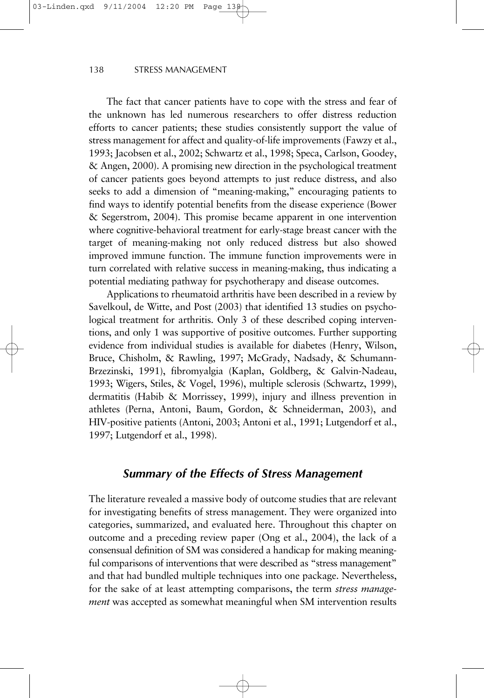The fact that cancer patients have to cope with the stress and fear of the unknown has led numerous researchers to offer distress reduction efforts to cancer patients; these studies consistently support the value of stress management for affect and quality-of-life improvements (Fawzy et al., 1993; Jacobsen et al., 2002; Schwartz et al., 1998; Speca, Carlson, Goodey, & Angen, 2000). A promising new direction in the psychological treatment of cancer patients goes beyond attempts to just reduce distress, and also seeks to add a dimension of "meaning-making," encouraging patients to find ways to identify potential benefits from the disease experience (Bower & Segerstrom, 2004). This promise became apparent in one intervention where cognitive-behavioral treatment for early-stage breast cancer with the target of meaning-making not only reduced distress but also showed improved immune function. The immune function improvements were in turn correlated with relative success in meaning-making, thus indicating a potential mediating pathway for psychotherapy and disease outcomes.

Applications to rheumatoid arthritis have been described in a review by Savelkoul, de Witte, and Post (2003) that identified 13 studies on psychological treatment for arthritis. Only 3 of these described coping interventions, and only 1 was supportive of positive outcomes. Further supporting evidence from individual studies is available for diabetes (Henry, Wilson, Bruce, Chisholm, & Rawling, 1997; McGrady, Nadsady, & Schumann-Brzezinski, 1991), fibromyalgia (Kaplan, Goldberg, & Galvin-Nadeau, 1993; Wigers, Stiles, & Vogel, 1996), multiple sclerosis (Schwartz, 1999), dermatitis (Habib & Morrissey, 1999), injury and illness prevention in athletes (Perna, Antoni, Baum, Gordon, & Schneiderman, 2003), and HIV-positive patients (Antoni, 2003; Antoni et al., 1991; Lutgendorf et al., 1997; Lutgendorf et al., 1998).

# *Summary of the Effects of Stress Management*

The literature revealed a massive body of outcome studies that are relevant for investigating benefits of stress management. They were organized into categories, summarized, and evaluated here. Throughout this chapter on outcome and a preceding review paper (Ong et al., 2004), the lack of a consensual definition of SM was considered a handicap for making meaningful comparisons of interventions that were described as "stress management" and that had bundled multiple techniques into one package. Nevertheless, for the sake of at least attempting comparisons, the term *stress management* was accepted as somewhat meaningful when SM intervention results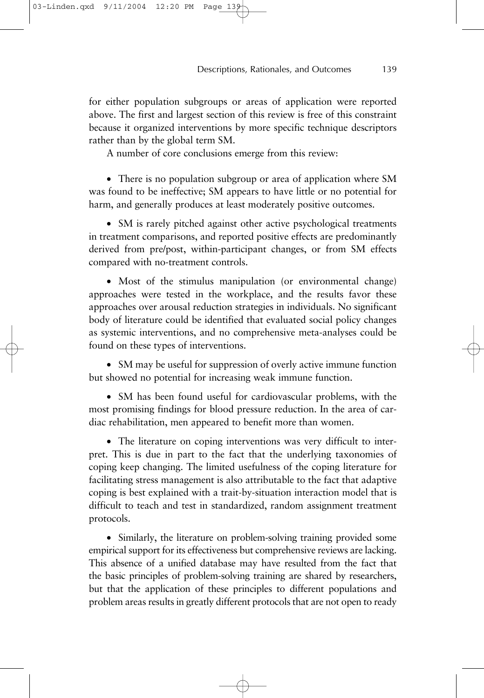for either population subgroups or areas of application were reported above. The first and largest section of this review is free of this constraint because it organized interventions by more specific technique descriptors rather than by the global term SM.

A number of core conclusions emerge from this review:

• There is no population subgroup or area of application where SM was found to be ineffective; SM appears to have little or no potential for harm, and generally produces at least moderately positive outcomes.

• SM is rarely pitched against other active psychological treatments in treatment comparisons, and reported positive effects are predominantly derived from pre/post, within-participant changes, or from SM effects compared with no-treatment controls.

• Most of the stimulus manipulation (or environmental change) approaches were tested in the workplace, and the results favor these approaches over arousal reduction strategies in individuals. No significant body of literature could be identified that evaluated social policy changes as systemic interventions, and no comprehensive meta-analyses could be found on these types of interventions.

• SM may be useful for suppression of overly active immune function but showed no potential for increasing weak immune function.

• SM has been found useful for cardiovascular problems, with the most promising findings for blood pressure reduction. In the area of cardiac rehabilitation, men appeared to benefit more than women.

• The literature on coping interventions was very difficult to interpret. This is due in part to the fact that the underlying taxonomies of coping keep changing. The limited usefulness of the coping literature for facilitating stress management is also attributable to the fact that adaptive coping is best explained with a trait-by-situation interaction model that is difficult to teach and test in standardized, random assignment treatment protocols.

• Similarly, the literature on problem-solving training provided some empirical support for its effectiveness but comprehensive reviews are lacking. This absence of a unified database may have resulted from the fact that the basic principles of problem-solving training are shared by researchers, but that the application of these principles to different populations and problem areas results in greatly different protocols that are not open to ready